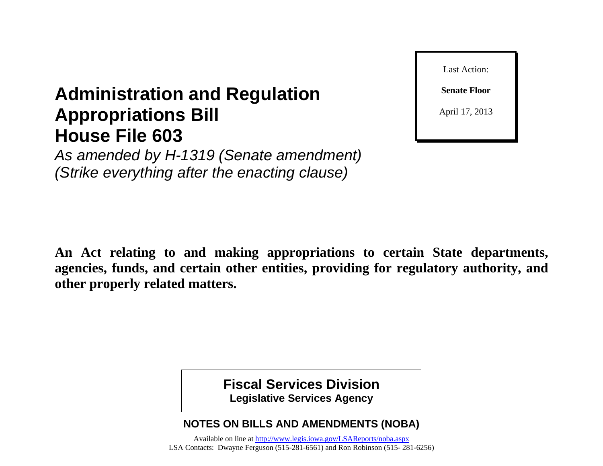**Senate Floor**

Last Action:

April 17, 2013

# **Administration and Regulation Appropriations Bill House File 603**

*As amended by H-1319 (Senate amendment) (Strike everything after the enacting clause)*

**An Act relating to and making appropriations to certain State departments, agencies, funds, and certain other entities, providing for regulatory authority, and other properly related matters.**

> **Fiscal Services Division Legislative Services Agency**

**NOTES ON BILLS AND AMENDMENTS (NOBA)**

Available on line at<http://www.legis.iowa.gov/LSAReports/noba.aspx> LSA Contacts: Dwayne Ferguson (515-281-6561) and Ron Robinson (515- 281-6256)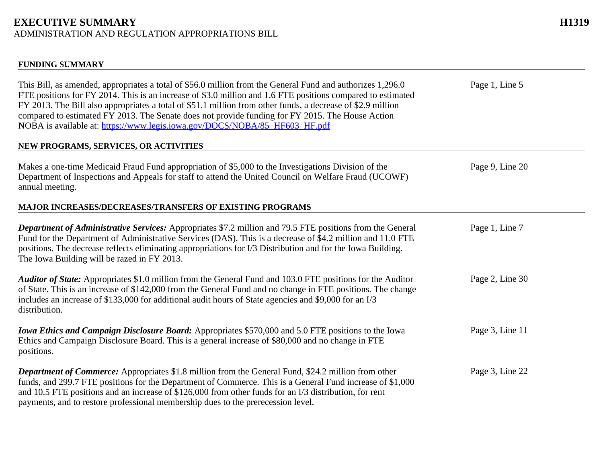#### **EXECUTIVE SUMMARY H1319** ADMINISTRATION AND REGULATION APPROPRIATIONS BILL

#### **FUNDING SUMMARY**

| This Bill, as amended, appropriates a total of \$56.0 million from the General Fund and authorizes 1,296.0<br>FTE positions for FY 2014. This is an increase of \$3.0 million and 1.6 FTE positions compared to estimated<br>FY 2013. The Bill also appropriates a total of \$51.1 million from other funds, a decrease of \$2.9 million<br>compared to estimated FY 2013. The Senate does not provide funding for FY 2015. The House Action<br>NOBA is available at: https://www.legis.jowa.gov/DOCS/NOBA/85 HF603 HF.pdf<br>NEW PROGRAMS, SERVICES, OR ACTIVITIES | Page 1, Line 5  |
|---------------------------------------------------------------------------------------------------------------------------------------------------------------------------------------------------------------------------------------------------------------------------------------------------------------------------------------------------------------------------------------------------------------------------------------------------------------------------------------------------------------------------------------------------------------------|-----------------|
|                                                                                                                                                                                                                                                                                                                                                                                                                                                                                                                                                                     |                 |
| Makes a one-time Medicaid Fraud Fund appropriation of \$5,000 to the Investigations Division of the<br>Department of Inspections and Appeals for staff to attend the United Council on Welfare Fraud (UCOWF)<br>annual meeting.                                                                                                                                                                                                                                                                                                                                     | Page 9, Line 20 |
| MAJOR INCREASES/DECREASES/TRANSFERS OF EXISTING PROGRAMS                                                                                                                                                                                                                                                                                                                                                                                                                                                                                                            |                 |
| <b>Department of Administrative Services:</b> Appropriates \$7.2 million and 79.5 FTE positions from the General<br>Fund for the Department of Administrative Services (DAS). This is a decrease of \$4.2 million and 11.0 FTE<br>positions. The decrease reflects eliminating appropriations for I/3 Distribution and for the Iowa Building.<br>The Iowa Building will be razed in FY 2013.                                                                                                                                                                        | Page 1, Line 7  |
| Auditor of State: Appropriates \$1.0 million from the General Fund and 103.0 FTE positions for the Auditor<br>of State. This is an increase of \$142,000 from the General Fund and no change in FTE positions. The change<br>includes an increase of \$133,000 for additional audit hours of State agencies and \$9,000 for an I/3<br>distribution.                                                                                                                                                                                                                 | Page 2, Line 30 |
| <b>Iowa Ethics and Campaign Disclosure Board:</b> Appropriates \$570,000 and 5.0 FTE positions to the Iowa<br>Ethics and Campaign Disclosure Board. This is a general increase of \$80,000 and no change in FTE<br>positions.                                                                                                                                                                                                                                                                                                                                       | Page 3, Line 11 |
| <b>Department of Commerce:</b> Appropriates \$1.8 million from the General Fund, \$24.2 million from other<br>funds, and 299.7 FTE positions for the Department of Commerce. This is a General Fund increase of \$1,000<br>and 10.5 FTE positions and an increase of \$126,000 from other funds for an I/3 distribution, for rent<br>payments, and to restore professional membership dues to the prerecession level.                                                                                                                                               | Page 3, Line 22 |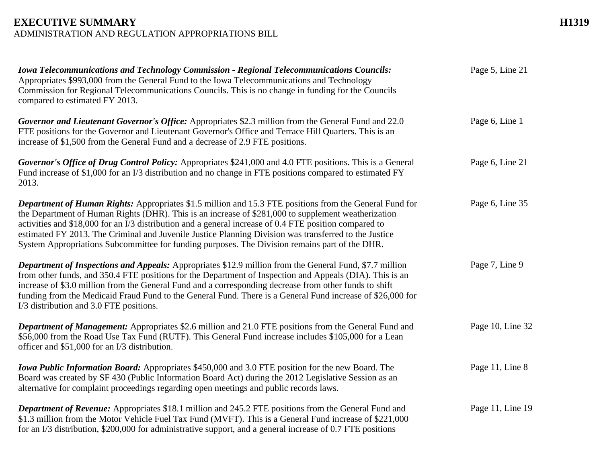#### **EXECUTIVE SUMMARY H1319** ADMINISTRATION AND REGULATION APPROPRIATIONS BILL

| <b>Iowa Telecommunications and Technology Commission - Regional Telecommunications Councils:</b><br>Appropriates \$993,000 from the General Fund to the Iowa Telecommunications and Technology<br>Commission for Regional Telecommunications Councils. This is no change in funding for the Councils<br>compared to estimated FY 2013.                                                                                                                                                                                                     | Page 5, Line 21  |
|--------------------------------------------------------------------------------------------------------------------------------------------------------------------------------------------------------------------------------------------------------------------------------------------------------------------------------------------------------------------------------------------------------------------------------------------------------------------------------------------------------------------------------------------|------------------|
| Governor and Lieutenant Governor's Office: Appropriates \$2.3 million from the General Fund and 22.0<br>FTE positions for the Governor and Lieutenant Governor's Office and Terrace Hill Quarters. This is an<br>increase of \$1,500 from the General Fund and a decrease of 2.9 FTE positions.                                                                                                                                                                                                                                            | Page 6, Line 1   |
| Governor's Office of Drug Control Policy: Appropriates \$241,000 and 4.0 FTE positions. This is a General<br>Fund increase of \$1,000 for an I/3 distribution and no change in FTE positions compared to estimated FY<br>2013.                                                                                                                                                                                                                                                                                                             | Page 6, Line 21  |
| <b>Department of Human Rights:</b> Appropriates \$1.5 million and 15.3 FTE positions from the General Fund for<br>the Department of Human Rights (DHR). This is an increase of \$281,000 to supplement weatherization<br>activities and \$18,000 for an I/3 distribution and a general increase of 0.4 FTE position compared to<br>estimated FY 2013. The Criminal and Juvenile Justice Planning Division was transferred to the Justice<br>System Appropriations Subcommittee for funding purposes. The Division remains part of the DHR. | Page 6, Line 35  |
| <b>Department of Inspections and Appeals:</b> Appropriates \$12.9 million from the General Fund, \$7.7 million<br>from other funds, and 350.4 FTE positions for the Department of Inspection and Appeals (DIA). This is an<br>increase of \$3.0 million from the General Fund and a corresponding decrease from other funds to shift<br>funding from the Medicaid Fraud Fund to the General Fund. There is a General Fund increase of \$26,000 for<br>I/3 distribution and 3.0 FTE positions.                                              | Page 7, Line 9   |
| <b>Department of Management:</b> Appropriates \$2.6 million and 21.0 FTE positions from the General Fund and<br>\$56,000 from the Road Use Tax Fund (RUTF). This General Fund increase includes \$105,000 for a Lean<br>officer and \$51,000 for an I/3 distribution.                                                                                                                                                                                                                                                                      | Page 10, Line 32 |
| <b>Iowa Public Information Board:</b> Appropriates \$450,000 and 3.0 FTE position for the new Board. The<br>Board was created by SF 430 (Public Information Board Act) during the 2012 Legislative Session as an<br>alternative for complaint proceedings regarding open meetings and public records laws.                                                                                                                                                                                                                                 | Page 11, Line 8  |
| <b>Department of Revenue:</b> Appropriates \$18.1 million and 245.2 FTE positions from the General Fund and<br>\$1.3 million from the Motor Vehicle Fuel Tax Fund (MVFT). This is a General Fund increase of \$221,000<br>for an I/3 distribution, \$200,000 for administrative support, and a general increase of 0.7 FTE positions                                                                                                                                                                                                       | Page 11, Line 19 |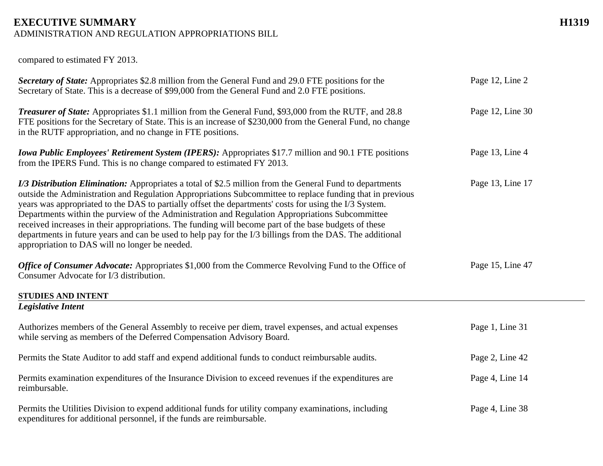## **EXECUTIVE SUMMARY H1319**

ADMINISTRATION AND REGULATION APPROPRIATIONS BILL

compared to estimated FY 2013.

| Secretary of State: Appropriates \$2.8 million from the General Fund and 29.0 FTE positions for the<br>Secretary of State. This is a decrease of \$99,000 from the General Fund and 2.0 FTE positions.                                                                                                                                                                                                                                                                                                                                                                                                                                                                                                            | Page 12, Line 2  |
|-------------------------------------------------------------------------------------------------------------------------------------------------------------------------------------------------------------------------------------------------------------------------------------------------------------------------------------------------------------------------------------------------------------------------------------------------------------------------------------------------------------------------------------------------------------------------------------------------------------------------------------------------------------------------------------------------------------------|------------------|
| <b>Treasurer of State:</b> Appropriates \$1.1 million from the General Fund, \$93,000 from the RUTF, and 28.8<br>FTE positions for the Secretary of State. This is an increase of \$230,000 from the General Fund, no change<br>in the RUTF appropriation, and no change in FTE positions.                                                                                                                                                                                                                                                                                                                                                                                                                        | Page 12, Line 30 |
| <b>Iowa Public Employees' Retirement System (IPERS):</b> Appropriates \$17.7 million and 90.1 FTE positions<br>from the IPERS Fund. This is no change compared to estimated FY 2013.                                                                                                                                                                                                                                                                                                                                                                                                                                                                                                                              | Page 13, Line 4  |
| <i>I/3 Distribution Elimination:</i> Appropriates a total of \$2.5 million from the General Fund to departments<br>outside the Administration and Regulation Appropriations Subcommittee to replace funding that in previous<br>years was appropriated to the DAS to partially offset the departments' costs for using the I/3 System.<br>Departments within the purview of the Administration and Regulation Appropriations Subcommittee<br>received increases in their appropriations. The funding will become part of the base budgets of these<br>departments in future years and can be used to help pay for the I/3 billings from the DAS. The additional<br>appropriation to DAS will no longer be needed. | Page 13, Line 17 |
| Office of Consumer Advocate: Appropriates \$1,000 from the Commerce Revolving Fund to the Office of<br>Consumer Advocate for I/3 distribution.                                                                                                                                                                                                                                                                                                                                                                                                                                                                                                                                                                    | Page 15, Line 47 |
| <b>STUDIES AND INTENT</b>                                                                                                                                                                                                                                                                                                                                                                                                                                                                                                                                                                                                                                                                                         |                  |
| <b>Legislative Intent</b>                                                                                                                                                                                                                                                                                                                                                                                                                                                                                                                                                                                                                                                                                         |                  |
| Authorizes members of the General Assembly to receive per diem, travel expenses, and actual expenses<br>while serving as members of the Deferred Compensation Advisory Board.                                                                                                                                                                                                                                                                                                                                                                                                                                                                                                                                     | Page 1, Line 31  |
| Permits the State Auditor to add staff and expend additional funds to conduct reimbursable audits.                                                                                                                                                                                                                                                                                                                                                                                                                                                                                                                                                                                                                | Page 2, Line 42  |
| Permits examination expenditures of the Insurance Division to exceed revenues if the expenditures are<br>reimbursable.                                                                                                                                                                                                                                                                                                                                                                                                                                                                                                                                                                                            | Page 4, Line 14  |
| Permits the Utilities Division to expend additional funds for utility company examinations, including<br>expenditures for additional personnel, if the funds are reimbursable.                                                                                                                                                                                                                                                                                                                                                                                                                                                                                                                                    | Page 4, Line 38  |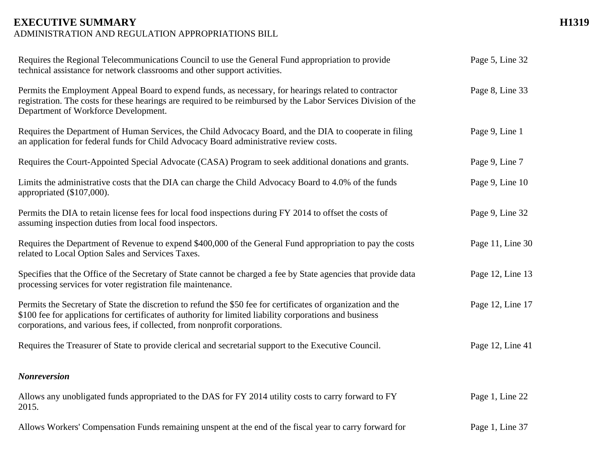#### **EXECUTIVE SUMMARY H1319** ADMINISTRATION AND REGULATION APPROPRIATIONS BILL

| Requires the Regional Telecommunications Council to use the General Fund appropriation to provide<br>technical assistance for network classrooms and other support activities.                                                                                                                          | Page 5, Line 32  |
|---------------------------------------------------------------------------------------------------------------------------------------------------------------------------------------------------------------------------------------------------------------------------------------------------------|------------------|
| Permits the Employment Appeal Board to expend funds, as necessary, for hearings related to contractor<br>registration. The costs for these hearings are required to be reimbursed by the Labor Services Division of the<br>Department of Workforce Development.                                         | Page 8, Line 33  |
| Requires the Department of Human Services, the Child Advocacy Board, and the DIA to cooperate in filing<br>an application for federal funds for Child Advocacy Board administrative review costs.                                                                                                       | Page 9, Line 1   |
| Requires the Court-Appointed Special Advocate (CASA) Program to seek additional donations and grants.                                                                                                                                                                                                   | Page 9, Line 7   |
| Limits the administrative costs that the DIA can charge the Child Advocacy Board to 4.0% of the funds<br>appropriated (\$107,000).                                                                                                                                                                      | Page 9, Line 10  |
| Permits the DIA to retain license fees for local food inspections during FY 2014 to offset the costs of<br>assuming inspection duties from local food inspectors.                                                                                                                                       | Page 9, Line 32  |
| Requires the Department of Revenue to expend \$400,000 of the General Fund appropriation to pay the costs<br>related to Local Option Sales and Services Taxes.                                                                                                                                          | Page 11, Line 30 |
| Specifies that the Office of the Secretary of State cannot be charged a fee by State agencies that provide data<br>processing services for voter registration file maintenance.                                                                                                                         | Page 12, Line 13 |
| Permits the Secretary of State the discretion to refund the \$50 fee for certificates of organization and the<br>\$100 fee for applications for certificates of authority for limited liability corporations and business<br>corporations, and various fees, if collected, from nonprofit corporations. | Page 12, Line 17 |
| Requires the Treasurer of State to provide clerical and secretarial support to the Executive Council.                                                                                                                                                                                                   | Page 12, Line 41 |
| <b>Nonreversion</b>                                                                                                                                                                                                                                                                                     |                  |
| Allows any unobligated funds appropriated to the DAS for FY 2014 utility costs to carry forward to FY<br>2015.                                                                                                                                                                                          | Page 1, Line 22  |
| Allows Workers' Compensation Funds remaining unspent at the end of the fiscal year to carry forward for                                                                                                                                                                                                 | Page 1, Line 37  |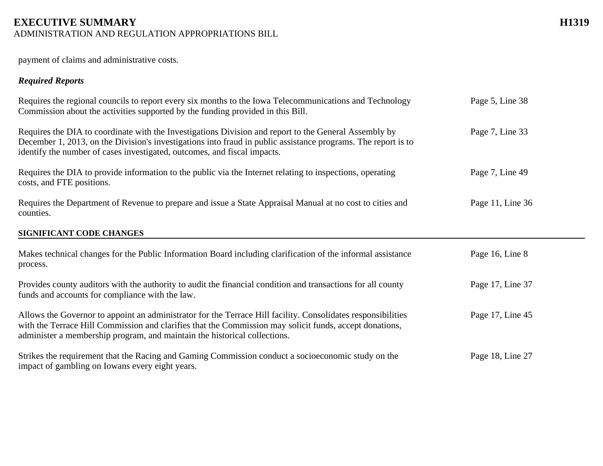## **EXECUTIVE SUMMARY H1319**

ADMINISTRATION AND REGULATION APPROPRIATIONS BILL

payment of claims and administrative costs.

#### *Required Reports*

| Requires the regional councils to report every six months to the Iowa Telecommunications and Technology<br>Commission about the activities supported by the funding provided in this Bill.                                                                                                           | Page 5, Line 38  |
|------------------------------------------------------------------------------------------------------------------------------------------------------------------------------------------------------------------------------------------------------------------------------------------------------|------------------|
| Requires the DIA to coordinate with the Investigations Division and report to the General Assembly by<br>December 1, 2013, on the Division's investigations into fraud in public assistance programs. The report is to<br>identify the number of cases investigated, outcomes, and fiscal impacts.   | Page 7, Line 33  |
| Requires the DIA to provide information to the public via the Internet relating to inspections, operating<br>costs, and FTE positions.                                                                                                                                                               | Page 7, Line 49  |
| Requires the Department of Revenue to prepare and issue a State Appraisal Manual at no cost to cities and<br>counties.                                                                                                                                                                               | Page 11, Line 36 |
| SIGNIFICANT CODE CHANGES                                                                                                                                                                                                                                                                             |                  |
| Makes technical changes for the Public Information Board including clarification of the informal assistance<br>process.                                                                                                                                                                              | Page 16, Line 8  |
| Provides county auditors with the authority to audit the financial condition and transactions for all county<br>funds and accounts for compliance with the law.                                                                                                                                      | Page 17, Line 37 |
| Allows the Governor to appoint an administrator for the Terrace Hill facility. Consolidates responsibilities<br>with the Terrace Hill Commission and clarifies that the Commission may solicit funds, accept donations,<br>administer a membership program, and maintain the historical collections. | Page 17, Line 45 |
| Strikes the requirement that the Racing and Gaming Commission conduct a socioeconomic study on the<br>impact of gambling on Iowans every eight years.                                                                                                                                                | Page 18, Line 27 |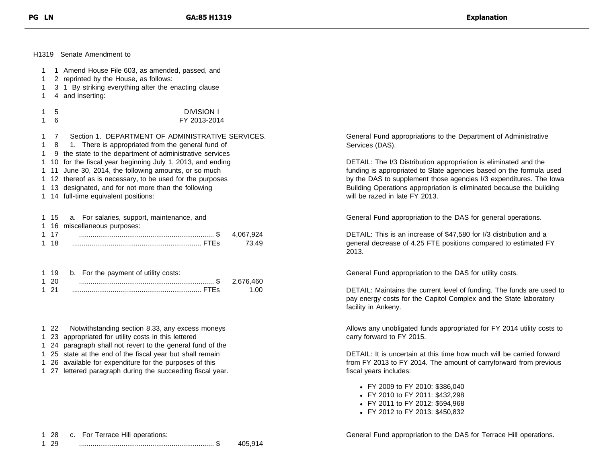H1319 Senate Amendment to

| 1<br>1 |                                                         | 1 Amend House File 603, as amended, passed, and<br>2 reprinted by the House, as follows: |              |  |
|--------|---------------------------------------------------------|------------------------------------------------------------------------------------------|--------------|--|
| 1<br>1 |                                                         | 3 1 By striking everything after the enacting clause<br>4 and inserting:                 |              |  |
| 1<br>1 | 5<br>6                                                  | <b>DIVISION I</b><br>FY 2013-2014                                                        |              |  |
| 1      | 7                                                       | Section 1. DEPARTMENT OF ADMINISTRATIVE SERVICES.                                        | Gen          |  |
| 1      | 8                                                       | 1. There is appropriated from the general fund of                                        | Serv         |  |
| 1      | 9                                                       | the state to the department of administrative services                                   |              |  |
| 1      |                                                         | 10 for the fiscal year beginning July 1, 2013, and ending                                | <b>DET</b>   |  |
| 1      | 11                                                      | June 30, 2014, the following amounts, or so much                                         | fund         |  |
| 1.     | 12 thereof as is necessary, to be used for the purposes |                                                                                          |              |  |
| 1      |                                                         | 13 designated, and for not more than the following                                       | <b>Build</b> |  |
| 1.     |                                                         | 14 full-time equivalent positions:                                                       | will t       |  |
| 1.     | -15                                                     | a. For salaries, support, maintenance, and                                               | Gen          |  |
| 1      | 16                                                      | miscellaneous purposes:                                                                  |              |  |
| 1.     | 17                                                      | 4.067.924                                                                                | <b>DET</b>   |  |
| 1      | 18                                                      | 73.49                                                                                    | gene         |  |
|        |                                                         |                                                                                          | 2013         |  |
| 1.     | 19                                                      | b. For the payment of utility costs:                                                     | Gen          |  |
| 1.     | 20                                                      | 2,676,460                                                                                |              |  |
| 1      | -21                                                     | 1.00                                                                                     | <b>DET</b>   |  |

- 1 22 Notwithstanding section 8.33, any excess moneys
- 1 23 appropriated for utility costs in this lettered
- 1 24 paragraph shall not revert to the general fund of the
- 1 25 state at the end of the fiscal year but shall remain
- 1 26 available for expenditure for the purposes of this
- 1 27 lettered paragraph during the succeeding fiscal year.

eral Fund appropriations to the Department of Administrative ices (DAS).

AIL: The I/3 Distribution appropriation is eliminated and the ing is appropriated to State agencies based on the formula used e DAS to supplement those agencies I/3 expenditures. The Iowa ding Operations appropriation is eliminated because the building be razed in late FY 2013.

eral Fund appropriation to the DAS for general operations.

AIL: This is an increase of \$47,580 for I/3 distribution and a eral decrease of 4.25 FTE positions compared to estimated FY  $\overline{\mathbf{3}}$ .

eral Fund appropriation to the DAS for utility costs.

DETAIL: Maintains the current level of funding. The funds are used to pay energy costs for the Capitol Complex and the State laboratory facility in Ankeny.

Allows any unobligated funds appropriated for FY 2014 utility costs to carry forward to FY 2015.

DETAIL: It is uncertain at this time how much will be carried forward from FY 2013 to FY 2014. The amount of carryforward from previous fiscal years includes:

- FY 2009 to FY 2010: \$386,040
- FY 2010 to FY 2011: \$432,298
- FY 2011 to FY 2012: \$594,968
- FY 2012 to FY 2013: \$450,832

1 28 c. For Terrace Hill operations:

General Fund appropriation to the DAS for Terrace Hill operations.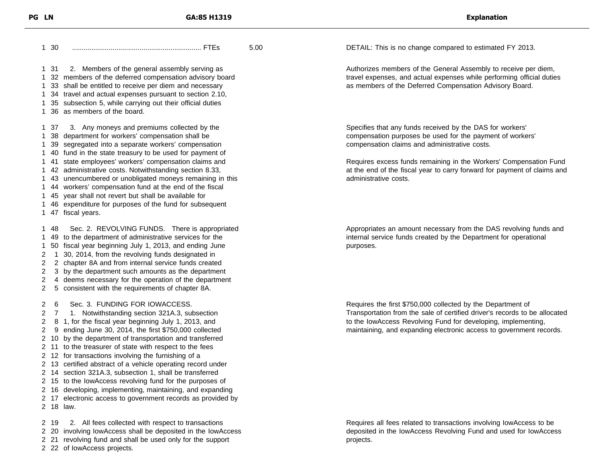30 ................................................................... FTEs 5.00 31 2. Members of the general assembly serving as 32 members of the deferred compensation advisory board 33 shall be entitled to receive per diem and necessary 34 travel and actual expenses pursuant to section 2.10, 35 subsection 5, while carrying out their official duties 36 as members of the board. 37 3. Any moneys and premiums collected by the 38 department for workers' compensation shall be 39 segregated into a separate workers' compensation 40 fund in the state treasury to be used for payment of 41 state employees' workers' compensation claims and 42 administrative costs. Notwithstanding section 8.33, 43 unencumbered or unobligated moneys remaining in this 44 workers' compensation fund at the end of the fiscal 45 year shall not revert but shall be available for 46 expenditure for purposes of the fund for subsequent 47 fiscal years. 48 Sec. 2. REVOLVING FUNDS. There is appropriated 49 to the department of administrative services for the 50 fiscal year beginning July 1, 2013, and ending June 1 30, 2014, from the revolving funds designated in 2 chapter 8A and from internal service funds created 3 by the department such amounts as the department 4 deems necessary for the operation of the department 5 consistent with the requirements of chapter 8A. 6 Sec. 3. FUNDING FOR IOWACCESS. 7 1. Notwithstanding section 321A.3, subsection 8 1, for the fiscal year beginning July 1, 2013, and 9 ending June 30, 2014, the first \$750,000 collected 10 by the department of transportation and transferred 11 to the treasurer of state with respect to the fees 12 for transactions involving the furnishing of a 13 certified abstract of a vehicle operating record under 14 section 321A.3, subsection 1, shall be transferred 15 to the IowAccess revolving fund for the purposes of 16 developing, implementing, maintaining, and expanding 17 electronic access to government records as provided by 18 law. 19 2. All fees collected with respect to transactions

20 involving IowAccess shall be deposited in the IowAccess

21 revolving fund and shall be used only for the support

22 of IowAccess projects.

DETAIL: This is no change compared to estimated FY 2013.

Authorizes members of the General Assembly to receive per diem, travel expenses, and actual expenses while performing official duties as members of the Deferred Compensation Advisory Board.

Specifies that any funds received by the DAS for workers' compensation purposes be used for the payment of workers' compensation claims and administrative costs.

Requires excess funds remaining in the Workers' Compensation Fund at the end of the fiscal year to carry forward for payment of claims and administrative costs.

Appropriates an amount necessary from the DAS revolving funds and internal service funds created by the Department for operational purposes.

Requires the first \$750,000 collected by the Department of Transportation from the sale of certified driver's records to be allocated to the IowAccess Revolving Fund for developing, implementing, maintaining, and expanding electronic access to government records.

Requires all fees related to transactions involving IowAccess to be deposited in the IowAccess Revolving Fund and used for IowAccess projects.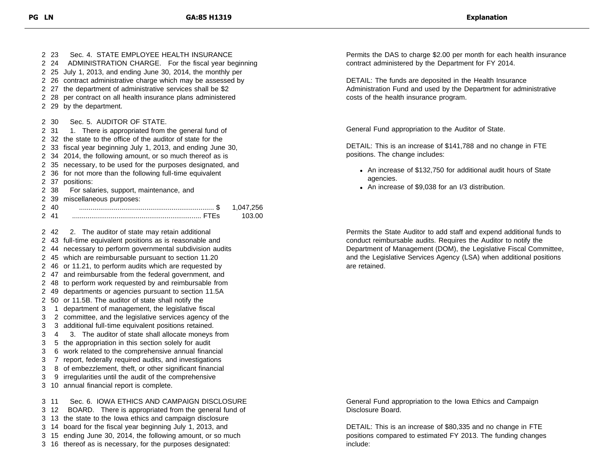2 23 Sec. 4 STATE EMPLOYEE HEALTH INSURANCE 24 ADMINISTRATION CHARGE. For the fiscal year beginning 25 July 1, 2013, and ending June 30, 2014, the monthly per 26 contract administrative charge which may be assessed by 27 the department of administrative services shall be \$2 28 per contract on all health insurance plans administered 29 by the department. 30 Sec. 5. AUDITOR OF STATE. 2 31 1. There is appropriated from the general fund of 32 the state to the office of the auditor of state for the 33 fiscal year beginning July 1, 2013, and ending June 30, 34 2014, the following amount, or so much thereof as is 35 necessary, to be used for the purposes designated, and 36 for not more than the following full-time equivalent 37 positions: 38 For salaries, support, maintenance, and 39 miscellaneous purposes: 40 ...................................................................... \$ 1,047,256 41 ................................................................... FTEs 103.00 42 2. The auditor of state may retain additional 43 full-time equivalent positions as is reasonable and 44 necessary to perform governmental subdivision audits 45 which are reimbursable pursuant to section 11.20 46 or 11.21, to perform audits which are requested by 47 and reimbursable from the federal government, and 48 to perform work requested by and reimbursable from 49 departments or agencies pursuant to section 11.5A 50 or 11.5B. The auditor of state shall notify the 1 department of management, the legislative fiscal 2 committee, and the legislative services agency of the 3 additional full-time equivalent positions retained. 4 3. The auditor of state shall allocate moneys from 5 the appropriation in this section solely for audit 6 work related to the comprehensive annual financial 7 report, federally required audits, and investigations 8 of embezzlement, theft, or other significant financial 9 irregularities until the audit of the comprehensive 10 annual financial report is complete. 11 Sec. 6. IOWA ETHICS AND CAMPAIGN DISCLOSURE 12 BOARD. There is appropriated from the general fund of 13 the state to the Iowa ethics and campaign disclosure 14 board for the fiscal year beginning July 1, 2013, and 15 ending June 30, 2014, the following amount, or so much

16 thereof as is necessary, for the purposes designated:

Permits the DAS to charge \$2.00 per month for each health insurance contract administered by the Department for FY 2014.

DETAIL: The funds are deposited in the Health Insurance Administration Fund and used by the Department for administrative costs of the health insurance program.

General Fund appropriation to the Auditor of State.

DETAIL: This is an increase of \$141,788 and no change in FTE positions. The change includes:

- An increase of \$132,750 for additional audit hours of State agencies.
- An increase of \$9,038 for an I/3 distribution.

Permits the State Auditor to add staff and expend additional funds to conduct reimbursable audits. Requires the Auditor to notify the Department of Management (DOM), the Legislative Fiscal Committee, and the Legislative Services Agency (LSA) when additional positions are retained.

General Fund appropriation to the Iowa Ethics and Campaign Disclosure Board.

DETAIL: This is an increase of \$80,335 and no change in FTE positions compared to estimated FY 2013. The funding changes include: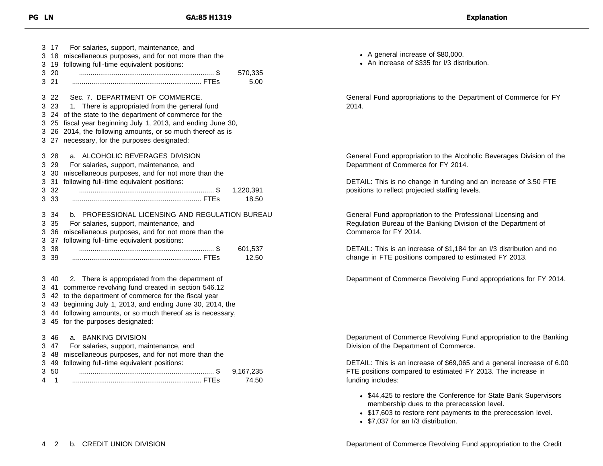| 3<br>3<br>3<br>3<br>3      | 17<br>18<br>19<br>20<br>21       | For salaries, support, maintenance, and<br>miscellaneous purposes, and for not more than the<br>following full-time equivalent positions:<br>570,335<br>5.00                                                                                                                                                 |
|----------------------------|----------------------------------|--------------------------------------------------------------------------------------------------------------------------------------------------------------------------------------------------------------------------------------------------------------------------------------------------------------|
| 3<br>3<br>3<br>3<br>3<br>3 | 22<br>23<br>24<br>25<br>26<br>27 | Sec. 7. DEPARTMENT OF COMMERCE.<br>1. There is appropriated from the general fund<br>of the state to the department of commerce for the<br>fiscal year beginning July 1, 2013, and ending June 30,<br>2014, the following amounts, or so much thereof as is<br>necessary, for the purposes designated:       |
| 3<br>3<br>3<br>3<br>3<br>3 | 28<br>29<br>30<br>31<br>32<br>33 | ALCOHOLIC BEVERAGES DIVISION<br>a.<br>For salaries, support, maintenance, and<br>miscellaneous purposes, and for not more than the<br>following full-time equivalent positions:<br>1,220,391<br>18.50                                                                                                        |
| 3<br>3<br>3<br>3<br>3<br>3 | 34<br>35<br>36<br>37<br>38<br>39 | b. PROFESSIONAL LICENSING AND REGULATION BUREAU<br>For salaries, support, maintenance, and<br>miscellaneous purposes, and for not more than the<br>following full-time equivalent positions:<br>601,537<br>12.50                                                                                             |
| 3<br>3<br>3<br>3<br>3<br>3 | 40<br>41<br>42<br>43<br>44<br>45 | 2. There is appropriated from the department of<br>commerce revolving fund created in section 546.12<br>to the department of commerce for the fiscal year<br>beginning July 1, 2013, and ending June 30, 2014, the<br>following amounts, or so much thereof as is necessary,<br>for the purposes designated: |
| 3<br>3<br>3<br>3<br>3<br>4 | 46<br>47<br>48<br>49<br>50<br>1  | <b>BANKING DIVISION</b><br>a.<br>For salaries, support, maintenance, and<br>miscellaneous purposes, and for not more than the<br>following full-time equivalent positions:<br>9,167,235<br>74.50                                                                                                             |

- A general increase of \$80,000.
- An increase of \$335 for I/3 distribution.

General Fund appropriations to the Department of Commerce for FY 2014.

General Fund appropriation to the Alcoholic Beverages Division of the Department of Commerce for FY 2014.

DETAIL: This is no change in funding and an increase of 3.50 FTE positions to reflect projected staffing levels.

General Fund appropriation to the Professional Licensing and Regulation Bureau of the Banking Division of the Department of Commerce for FY 2014.

DETAIL: This is an increase of \$1,184 for an I/3 distribution and no change in FTE positions compared to estimated FY 2013.

Department of Commerce Revolving Fund appropriations for FY 2014.

Department of Commerce Revolving Fund appropriation to the Banking Division of the Department of Commerce.

DETAIL: This is an increase of \$69,065 and a general increase of 6.00 FTE positions compared to estimated FY 2013. The increase in funding includes:

- \$44,425 to restore the Conference for State Bank Supervisors membership dues to the prerecession level.
- \$17,603 to restore rent payments to the prerecession level.
- \$7,037 for an I/3 distribution.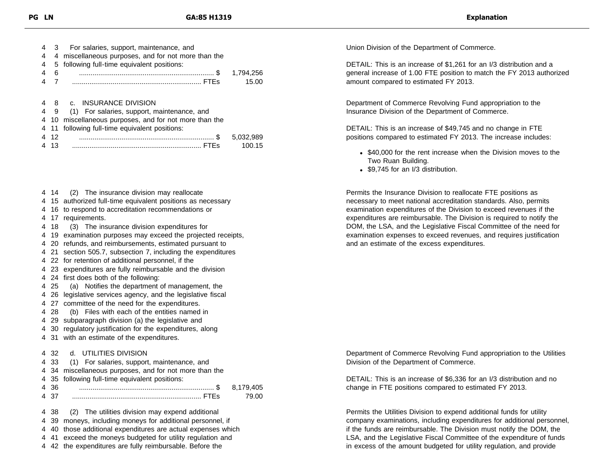| 4 |      | For salaries, support, maintenance, and           |           |
|---|------|---------------------------------------------------|-----------|
| 4 | 4    | miscellaneous purposes, and for not more than the |           |
| 4 | 5.   | following full-time equivalent positions:         |           |
| 4 | 6    |                                                   | 1,794,256 |
| 4 |      |                                                   | 15.00     |
|   |      |                                                   |           |
| 4 |      | 8 c. INSURANCE DIVISION                           |           |
| 4 | - 9  | (1) For salaries, support, maintenance, and       |           |
| 4 | 10   | miscellaneous purposes, and for not more than the |           |
|   |      | 4 11 following full-time equivalent positions:    |           |
|   | 4 12 |                                                   | 5,032,989 |
|   | 13   |                                                   | 100.15    |
|   |      |                                                   |           |

- 4 14 (2) The insurance division may reallocate
- 4 15 authorized full-time equivalent positions as necessary
- 4 16 to respond to accreditation recommendations or
- 4 17 requirements.
- 4 18 (3) The insurance division expenditures for
- 4 19 examination purposes may exceed the projected receipts,
- 4 20 refunds, and reimbursements, estimated pursuant to
- 4 21 section 505.7, subsection 7, including the expenditures
- 4 22 for retention of additional personnel, if the
- 4 23 expenditures are fully reimbursable and the division
- 4 24 first does both of the following:
- 4 25 (a) Notifies the department of management, the
- 4 26 legislative services agency, and the legislative fiscal
- 4 27 committee of the need for the expenditures.
- 4 28 (b) Files with each of the entities named in
- 4 29 subparagraph division (a) the legislative and
- 4 30 regulatory justification for the expenditures, along
- 4 31 with an estimate of the expenditures.

#### 4 32 d. UTILITIES DIVISION

|  |  |  |  | 4 33 (1) For salaries, support, maintenance, and |  |
|--|--|--|--|--------------------------------------------------|--|
|--|--|--|--|--------------------------------------------------|--|

- 4 34 miscellaneous purposes, and for not more than the
- 4 35 following full-time equivalent positions: 4 36 ...................................................................... \$ 8,179,405 4 37 ................................................................... FTEs 79.00

 38 (2) The utilities division may expend additional 39 moneys, including moneys for additional personnel, if 40 those additional expenditures are actual expenses which 41 exceed the moneys budgeted for utility regulation and

4 42 the expenditures are fully reimbursable. Before the

Union Division of the Department of Commerce.

DETAIL: This is an increase of \$1,261 for an I/3 distribution and a general increase of 1.00 FTE position to match the FY 2013 authorized amount compared to estimated FY 2013.

Department of Commerce Revolving Fund appropriation to the Insurance Division of the Department of Commerce.

DETAIL: This is an increase of \$49,745 and no change in FTE positions compared to estimated FY 2013. The increase includes:

- \$40,000 for the rent increase when the Division moves to the Two Ruan Building.
- \$9.745 for an I/3 distribution.

Permits the Insurance Division to reallocate FTE positions as necessary to meet national accreditation standards. Also, permits examination expenditures of the Division to exceed revenues if the expenditures are reimbursable. The Division is required to notify the DOM, the LSA, and the Legislative Fiscal Committee of the need for examination expenses to exceed revenues, and requires justification and an estimate of the excess expenditures.

Department of Commerce Revolving Fund appropriation to the Utilities Division of the Department of Commerce.

DETAIL: This is an increase of \$6,336 for an I/3 distribution and no change in FTE positions compared to estimated FY 2013.

Permits the Utilities Division to expend additional funds for utility company examinations, including expenditures for additional personnel, if the funds are reimbursable. The Division must notify the DOM, the LSA, and the Legislative Fiscal Committee of the expenditure of funds in excess of the amount budgeted for utility regulation, and provide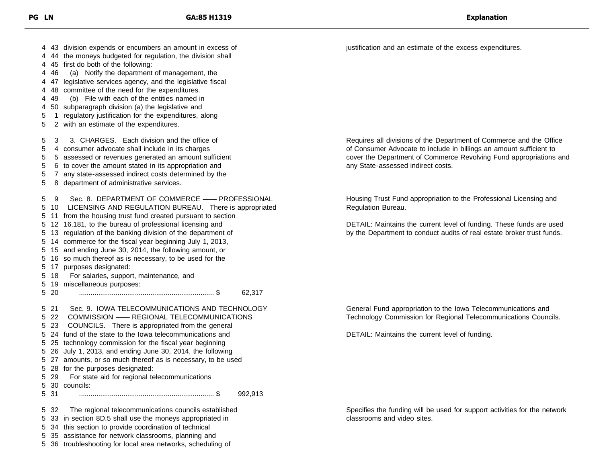43 division expends or encumbers an amount in excess of 44 the moneys budgeted for regulation, the division shall 45 first do both of the following: 46 (a) Notify the department of management, the 47 legislative services agency, and the legislative fiscal 48 committee of the need for the expenditures. 49 (b) File with each of the entities named in 50 subparagraph division (a) the legislative and 1 regulatory justification for the expenditures, along 2 with an estimate of the expenditures. 3 3. CHARGES. Each division and the office of 4 consumer advocate shall include in its charges 5 assessed or revenues generated an amount sufficient 6 to cover the amount stated in its appropriation and 7 any state-assessed indirect costs determined by the 8 department of administrative services. 9 Sec. 8. DEPARTMENT OF COMMERCE —— PROFESSIONAL 10 LICENSING AND REGULATION BUREAU. There is appropriated 11 from the housing trust fund created pursuant to section 12 16.181, to the bureau of professional licensing and 13 regulation of the banking division of the department of 14 commerce for the fiscal year beginning July 1, 2013, 15 and ending June 30, 2014, the following amount, or 16 so much thereof as is necessary, to be used for the 17 purposes designated: 18 For salaries, support, maintenance, and 19 miscellaneous purposes: 20 ...................................................................... \$ 62,317 21 Sec. 9. IOWA TELECOMMUNICATIONS AND TECHNOLOGY 22 COMMISSION —— REGIONAL TELECOMMUNICATIONS 23 COUNCILS. There is appropriated from the general 24 fund of the state to the Iowa telecommunications and 25 technology commission for the fiscal year beginning 26 July 1, 2013, and ending June 30, 2014, the following 27 amounts, or so much thereof as is necessary, to be used 28 for the purposes designated: 29 For state aid for regional telecommunications 30 councils: 31 ...................................................................... \$ 992,913 32 The regional telecommunications councils established 33 in section 8D.5 shall use the moneys appropriated in 34 this section to provide coordination of technical 35 assistance for network classrooms, planning and

36 troubleshooting for local area networks, scheduling of

justification and an estimate of the excess expenditures.

Requires all divisions of the Department of Commerce and the Office of Consumer Advocate to include in billings an amount sufficient to cover the Department of Commerce Revolving Fund appropriations and any State-assessed indirect costs.

Housing Trust Fund appropriation to the Professional Licensing and Regulation Bureau.

DETAIL: Maintains the current level of funding. These funds are used by the Department to conduct audits of real estate broker trust funds.

General Fund appropriation to the Iowa Telecommunications and Technology Commission for Regional Telecommunications Councils.

DETAIL: Maintains the current level of funding.

Specifies the funding will be used for support activities for the network classrooms and video sites.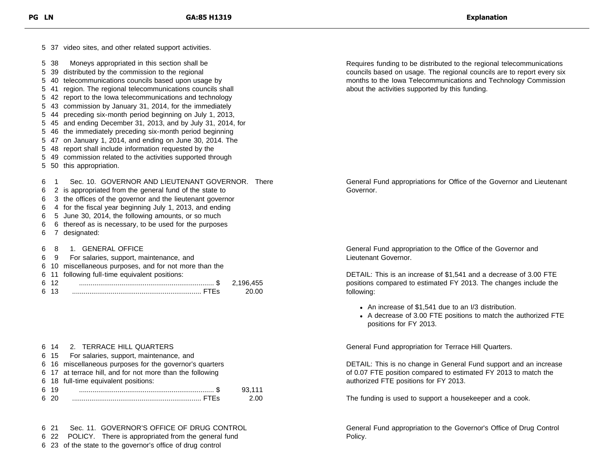37 video sites, and other related support activities. 38 Moneys appropriated in this section shall be 39 distributed by the commission to the regional 40 telecommunications councils based upon usage by 41 region. The regional telecommunications councils shall 42 report to the Iowa telecommunications and technology 43 commission by January 31, 2014, for the immediately 44 preceding six-month period beginning on July 1, 2013, 45 and ending December 31, 2013, and by July 31, 2014, for 46 the immediately preceding six-month period beginning 47 on January 1, 2014, and ending on June 30, 2014. The 48 report shall include information requested by the 49 commission related to the activities supported through 50 this appropriation. 1 Sec. 10. GOVERNOR AND LIEUTENANT GOVERNOR. There 2 is appropriated from the general fund of the state to 3 the offices of the governor and the lieutenant governor 4 for the fiscal year beginning July 1, 2013, and ending 5 June 30, 2014, the following amounts, or so much 6 thereof as is necessary, to be used for the purposes 7 designated: 8 1. GENERAL OFFICE 9 For salaries, support, maintenance, and 10 miscellaneous purposes, and for not more than the 11 following full-time equivalent positions: 12 ...................................................................... \$ 2,196,455 13 ................................................................... FTEs 20.00 Governor. following:

|      | U IT LI ILIN VUL IIILL WUNILINU                           |        |
|------|-----------------------------------------------------------|--------|
|      | 6 15 For salaries, support, maintenance, and              |        |
|      | 6 16 miscellaneous purposes for the governor's quarters   |        |
|      | 6 17 at terrace hill, and for not more than the following |        |
|      | 6 18 full-time equivalent positions:                      |        |
| 6 19 |                                                           | 93.111 |
| 620  |                                                           | 2.00   |

14 2. TERRACE HILL QUARTERS

22 POLICY. There is appropriated from the general fund

23 of the state to the governor's office of drug control

Requires funding to be distributed to the regional telecommunications councils based on usage. The regional councils are to report every six months to the Iowa Telecommunications and Technology Commission about the activities supported by this funding.

General Fund appropriations for Office of the Governor and Lieutenant

General Fund appropriation to the Office of the Governor and Lieutenant Governor.

DETAIL: This is an increase of \$1,541 and a decrease of 3.00 FTE positions compared to estimated FY 2013. The changes include the

- An increase of \$1,541 due to an I/3 distribution.
- A decrease of 3.00 FTE positions to match the authorized FTE positions for FY 2013.

General Fund appropriation for Terrace Hill Quarters.

DETAIL: This is no change in General Fund support and an increase of 0.07 FTE position compared to estimated FY 2013 to match the authorized FTE positions for FY 2013.

The funding is used to support a housekeeper and a cook.

General Fund appropriation to the Governor's Office of Drug Control Policy.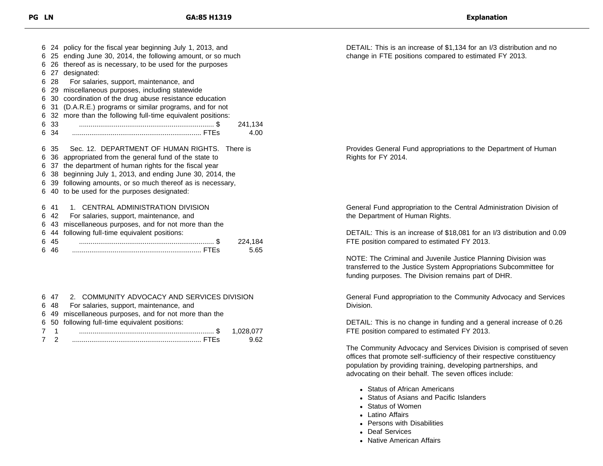|   |      | 6 24 policy for the fiscal year beginning July 1, 2013, and |  |  |  |
|---|------|-------------------------------------------------------------|--|--|--|
|   |      | 6 25 ending June 30, 2014, the following amount, or so much |  |  |  |
|   |      | 6 26 thereof as is necessary, to be used for the purposes   |  |  |  |
|   | 6 27 | designated:                                                 |  |  |  |
|   | 6 28 | For salaries, support, maintenance, and                     |  |  |  |
|   | 629  | miscellaneous purposes, including statewide                 |  |  |  |
|   |      | 6 30 coordination of the drug abuse resistance education    |  |  |  |
|   | 6 31 | (D.A.R.E.) programs or similar programs, and for not        |  |  |  |
|   | 6 32 | more than the following full-time equivalent positions:     |  |  |  |
| 6 | -33  | 241,134                                                     |  |  |  |
|   | 634  | 4.00                                                        |  |  |  |
|   |      |                                                             |  |  |  |
|   | 635  | Sec. 12. DEPARTMENT OF HUMAN RIGHTS. There is               |  |  |  |
| 6 |      | 36 appropriated from the general fund of the state to       |  |  |  |
| 6 | 37   | the department of human rights for the fiscal year          |  |  |  |
| 6 | 38   | beginning July 1, 2013, and ending June 30, 2014, the       |  |  |  |
|   |      | 6 39 following amounts, or so much thereof as is necessary, |  |  |  |
|   |      | 6 40 to be used for the purposes designated:                |  |  |  |
|   | 6 41 | 1. CENTRAL ADMINISTRATION DIVISION                          |  |  |  |
|   | 6 42 | For salaries, support, maintenance, and                     |  |  |  |
|   |      |                                                             |  |  |  |
|   | 6 43 | miscellaneous purposes, and for not more than the           |  |  |  |
|   | 6 44 | following full-time equivalent positions:                   |  |  |  |
|   | 6 45 | 224,184                                                     |  |  |  |
|   | ჩ 46 | 5.65                                                        |  |  |  |

|     | 6 47 2. COMMUNITY ADVOCACY AND SERVICES DIVISION       |  |
|-----|--------------------------------------------------------|--|
|     | 6 48 For salaries, support, maintenance, and           |  |
|     | 6 49 miscellaneous purposes, and for not more than the |  |
|     | 6 50 following full-time equivalent positions:         |  |
| 7 1 |                                                        |  |
|     |                                                        |  |

DETAIL: This is an increase of \$1,134 for an I/3 distribution and no change in FTE positions compared to estimated FY 2013.

Provides General Fund appropriations to the Department of Human Rights for FY 2014.

General Fund appropriation to the Central Administration Division of the Department of Human Rights.

DETAIL: This is an increase of \$18,081 for an I/3 distribution and 0.09 FTE position compared to estimated FY 2013.

NOTE: The Criminal and Juvenile Justice Planning Division was transferred to the Justice System Appropriations Subcommittee for funding purposes. The Division remains part of DHR.

General Fund appropriation to the Community Advocacy and Services Division.

DETAIL: This is no change in funding and a general increase of 0.26 FTE position compared to estimated FY 2013.

The Community Advocacy and Services Division is comprised of seven offices that promote self-sufficiency of their respective constituency population by providing training, developing partnerships, and advocating on their behalf. The seven offices include:

- Status of African Americans
- Status of Asians and Pacific Islanders
- Status of Women
- Latino Affairs
- Persons with Disabilities
- Deaf Services
- Native American Affairs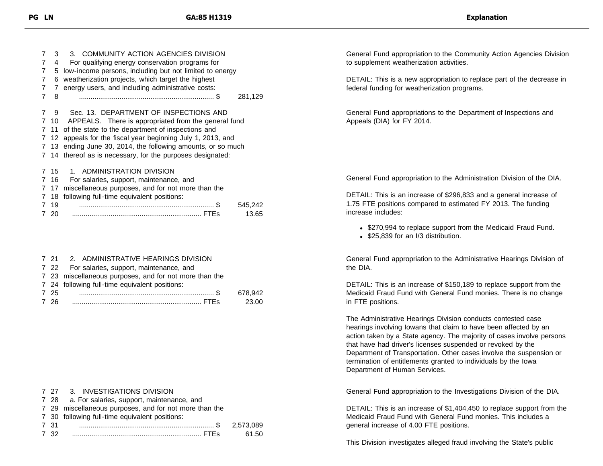| 7 | 3    | 3. COMMUNITY ACTION AGENCIES DIVISION                        |  |  |
|---|------|--------------------------------------------------------------|--|--|
| 7 | 4    | For qualifying energy conservation programs for              |  |  |
| 7 | 5    | low-income persons, including but not limited to energy      |  |  |
| 7 | 6    | weatherization projects, which target the highest            |  |  |
| 7 | 7    | energy users, and including administrative costs:            |  |  |
| 7 | 8    | 281,129                                                      |  |  |
|   |      |                                                              |  |  |
| 7 | 9    | Sec. 13. DEPARTMENT OF INSPECTIONS AND                       |  |  |
|   |      | 7 10 APPEALS. There is appropriated from the general fund    |  |  |
|   |      | 7 11 of the state to the department of inspections and       |  |  |
|   |      | 7 12 appeals for the fiscal year beginning July 1, 2013, and |  |  |
|   |      | 7 13 ending June 30, 2014, the following amounts, or so much |  |  |
|   |      | 7 14 thereof as is necessary, for the purposes designated:   |  |  |
| 7 | -15  | ADMINISTRATION DIVISION<br>1.                                |  |  |
|   |      |                                                              |  |  |
|   | 7 16 | For salaries, support, maintenance, and                      |  |  |
| 7 | -17  | miscellaneous purposes, and for not more than the            |  |  |
|   | 7 18 | following full-time equivalent positions:                    |  |  |
|   | 7 19 | 545,242                                                      |  |  |
|   | - 20 | 13.65                                                        |  |  |
|   |      |                                                              |  |  |

|      | 7 21 2. ADMINISTRATIVE HEARINGS DIVISION               |         |
|------|--------------------------------------------------------|---------|
|      | 7 22 For salaries, support, maintenance, and           |         |
|      | 7 23 miscellaneous purposes, and for not more than the |         |
|      | 7 24 following full-time equivalent positions:         |         |
| 7 25 |                                                        | 678.942 |
| 7 26 |                                                        | 23.00   |

|      | 7 27 3. INVESTIGATIONS DIVISION                        |       |
|------|--------------------------------------------------------|-------|
|      | 7 28 a. For salaries, support, maintenance, and        |       |
|      | 7 29 miscellaneous purposes, and for not more than the |       |
|      | 7 30 following full-time equivalent positions:         |       |
| 731  |                                                        |       |
| 7 32 |                                                        | 61.50 |
|      |                                                        |       |

General Fund appropriation to the Community Action Agencies Division to supplement weatherization activities.

DETAIL: This is a new appropriation to replace part of the decrease in federal funding for weatherization programs.

General Fund appropriations to the Department of Inspections and Appeals (DIA) for FY 2014.

General Fund appropriation to the Administration Division of the DIA.

DETAIL: This is an increase of \$296,833 and a general increase of 1.75 FTE positions compared to estimated FY 2013. The funding increase includes:

- \$270,994 to replace support from the Medicaid Fraud Fund.
- \$25,839 for an I/3 distribution.

General Fund appropriation to the Administrative Hearings Division of the DIA.

DETAIL: This is an increase of \$150,189 to replace support from the Medicaid Fraud Fund with General Fund monies. There is no change in FTE positions.

The Administrative Hearings Division conducts contested case hearings involving Iowans that claim to have been affected by an action taken by a State agency. The majority of cases involve persons that have had driver's licenses suspended or revoked by the Department of Transportation. Other cases involve the suspension or termination of entitlements granted to individuals by the Iowa Department of Human Services.

General Fund appropriation to the Investigations Division of the DIA.

DETAIL: This is an increase of \$1,404,450 to replace support from the Medicaid Fraud Fund with General Fund monies. This includes a general increase of 4.00 FTE positions.

This Division investigates alleged fraud involving the State's public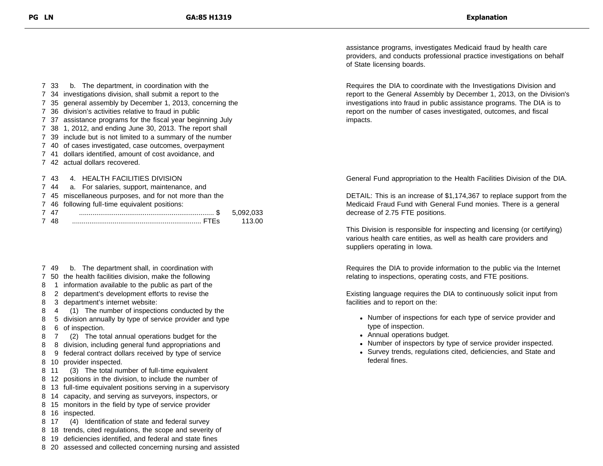33 b. The department, in coordination with the 34 investigations division, shall submit a report to the 35 general assembly by December 1, 2013, concerning the 36 division's activities relative to fraud in public 37 assistance programs for the fiscal year beginning July 38 1, 2012, and ending June 30, 2013. The report shall 39 include but is not limited to a summary of the number 40 of cases investigated, case outcomes, overpayment 41 dollars identified, amount of cost avoidance, and 42 actual dollars recovered. 43 4. HEALTH FACILITIES DIVISION 44 a. For salaries, support, maintenance, and

- 7 45 miscellaneous purposes, and for not more than the
- 7 46 following full-time equivalent positions:

- 7 49 b. The department shall, in coordination with
- 7 50 the health facilities division, make the following
- 8 1 information available to the public as part of the
- 8 2 department's development efforts to revise the
- 8 3 department's internet website:
- 8 4 (1) The number of inspections conducted by the
- 8 5 division annually by type of service provider and type 8 6 of inspection.
- 8 7 (2) The total annual operations budget for the
- 8 8 division, including general fund appropriations and
- 8 9 federal contract dollars received by type of service
- 8 10 provider inspected.
- 8 11 (3) The total number of full-time equivalent
- 8 12 positions in the division, to include the number of
- 8 13 full-time equivalent positions serving in a supervisory
- 8 14 capacity, and serving as surveyors, inspectors, or
- 8 15 monitors in the field by type of service provider
- 8 16 inspected.
- 8 17 (4) Identification of state and federal survey
- 8 18 trends, cited regulations, the scope and severity of
- 8 19 deficiencies identified, and federal and state fines
- 8 20 assessed and collected concerning nursing and assisted

assistance programs, investigates Medicaid fraud by health care providers, and conducts professional practice investigations on behalf of State licensing boards.

Requires the DIA to coordinate with the Investigations Division and report to the General Assembly by December 1, 2013, on the Division's investigations into fraud in public assistance programs. The DIA is to report on the number of cases investigated, outcomes, and fiscal impacts.

General Fund appropriation to the Health Facilities Division of the DIA.

DETAIL: This is an increase of \$1,174,367 to replace support from the Medicaid Fraud Fund with General Fund monies. There is a general decrease of 2.75 FTE positions.

This Division is responsible for inspecting and licensing (or certifying) various health care entities, as well as health care providers and suppliers operating in Iowa.

Requires the DIA to provide information to the public via the Internet relating to inspections, operating costs, and FTE positions.

Existing language requires the DIA to continuously solicit input from facilities and to report on the:

- Number of inspections for each type of service provider and type of inspection.
- Annual operations budget.
- Number of inspectors by type of service provider inspected.
- Survey trends, regulations cited, deficiencies, and State and federal fines.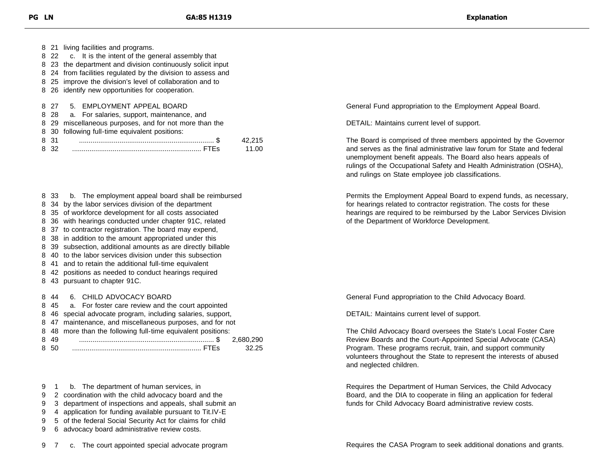|      | 8 21 living facilities and programs.                         |    |  |  |
|------|--------------------------------------------------------------|----|--|--|
|      | 8 22 c. It is the intent of the general assembly that        |    |  |  |
|      | 8 23 the department and division continuously solicit input  |    |  |  |
|      | 8 24 from facilities regulated by the division to assess and |    |  |  |
|      | 8 25 improve the division's level of collaboration and to    |    |  |  |
|      | 8 26 identify new opportunities for cooperation.             |    |  |  |
|      |                                                              |    |  |  |
| 8.27 | 5. EMPLOYMENT APPEAL BOARD                                   |    |  |  |
|      | 8 28 a. For salaries, support, maintenance, and              |    |  |  |
| 8 29 | miscellaneous purposes, and for not more than the            |    |  |  |
|      | 8 30 following full-time equivalent positions:               |    |  |  |
| 831  |                                                              | 15 |  |  |

- 33 b. The employment appeal board shall be reimbursed
- 34 by the labor services division of the department
- 35 of workforce development for all costs associated
- 36 with hearings conducted under chapter 91C, related
- 37 to contractor registration. The board may expend,
- 38 in addition to the amount appropriated under this
- 39 subsection, additional amounts as are directly billable
- 40 to the labor services division under this subsection
- 41 and to retain the additional full-time equivalent
- 42 positions as needed to conduct hearings required
- 43 pursuant to chapter 91C.

44 6. CHILD ADVOCACY BOARD

|       | 8 45 a. For foster care review and the court appointed       |       |
|-------|--------------------------------------------------------------|-------|
|       | 8 46 special advocate program, including salaries, support,  |       |
|       | 8 47 maintenance, and miscellaneous purposes, and for not    |       |
|       | 8 48 more than the following full-time equivalent positions: |       |
| 8 4 9 |                                                              |       |
| 8 50  |                                                              | 32.25 |
|       |                                                              |       |

- 1 b. The department of human services, in
- 2 coordination with the child advocacy board and the
- 3 department of inspections and appeals, shall submit an
- 4 application for funding available pursuant to Tit.IV-E
- 5 of the federal Social Security Act for claims for child
- 6 advocacy board administrative review costs.

7 c. The court appointed special advocate program

General Fund appropriation to the Employment Appeal Board.

DETAIL: Maintains current level of support.

The Board is comprised of three members appointed by the Governor and serves as the final administrative law forum for State and federal unemployment benefit appeals. The Board also hears appeals of rulings of the Occupational Safety and Health Administration (OSHA), and rulings on State employee job classifications.

Permits the Employment Appeal Board to expend funds, as necessary, for hearings related to contractor registration. The costs for these hearings are required to be reimbursed by the Labor Services Division of the Department of Workforce Development.

General Fund appropriation to the Child Advocacy Board.

DETAIL: Maintains current level of support.

The Child Advocacy Board oversees the State's Local Foster Care Review Boards and the Court-Appointed Special Advocate (CASA) Program. These programs recruit, train, and support community volunteers throughout the State to represent the interests of abused and neglected children.

Requires the Department of Human Services, the Child Advocacy Board, and the DIA to cooperate in filing an application for federal funds for Child Advocacy Board administrative review costs.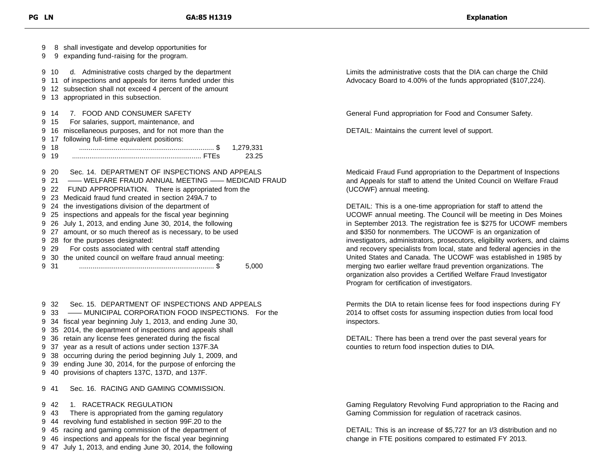| 9<br>9 |      | 8 shall investigate and develop opportunities for<br>9 expanding fund-raising for the program.                                                                                                                      |  |  |
|--------|------|---------------------------------------------------------------------------------------------------------------------------------------------------------------------------------------------------------------------|--|--|
| 9<br>9 | 10   | d. Administrative costs charged by the department<br>11 of inspections and appeals for items funded under this<br>9 12 subsection shall not exceed 4 percent of the amount<br>9 13 appropriated in this subsection. |  |  |
|        | 9 14 | 7. FOOD AND CONSUMER SAFETY                                                                                                                                                                                         |  |  |
| 9      | 15   | For salaries, support, maintenance, and                                                                                                                                                                             |  |  |
| 9      |      | 16 miscellaneous purposes, and for not more than the                                                                                                                                                                |  |  |
| 9      | 17   | following full-time equivalent positions:                                                                                                                                                                           |  |  |
| 9      | 18   | 1,279,331                                                                                                                                                                                                           |  |  |
| 9      | 19   | 23.25                                                                                                                                                                                                               |  |  |
| 9      | 20   | Sec. 14. DEPARTMENT OF INSPECTIONS AND APPEALS                                                                                                                                                                      |  |  |
| 9<br>9 |      | 21 - WELFARE FRAUD ANNUAL MEETING - MEDICAID FRAUD<br>22 FUND APPROPRIATION. There is appropriated from the                                                                                                         |  |  |
| 9      |      | 23 Medicaid fraud fund created in section 249A.7 to                                                                                                                                                                 |  |  |
| 9      |      | 24 the investigations division of the department of                                                                                                                                                                 |  |  |
| 9      |      | 25 inspections and appeals for the fiscal year beginning                                                                                                                                                            |  |  |
| 9      |      | 26 July 1, 2013, and ending June 30, 2014, the following                                                                                                                                                            |  |  |
| 9      |      | 27 amount, or so much thereof as is necessary, to be used                                                                                                                                                           |  |  |
| 9      |      | 28 for the purposes designated:                                                                                                                                                                                     |  |  |
| 9      | 29   | For costs associated with central staff attending                                                                                                                                                                   |  |  |
|        |      | 9 30 the united council on welfare fraud annual meeting:                                                                                                                                                            |  |  |
| 9      | 31   | 5,000                                                                                                                                                                                                               |  |  |

 32 Sec. 15. DEPARTMENT OF INSPECTIONS AND APPEALS 33 —— MUNICIPAL CORPORATION FOOD INSPECTIONS. For the 34 fiscal year beginning July 1, 2013, and ending June 30, 35 2014, the department of inspections and appeals shall 36 retain any license fees generated during the fiscal 37 year as a result of actions under section 137F.3A 38 occurring during the period beginning July 1, 2009, and 39 ending June 30, 2014, for the purpose of enforcing the 40 provisions of chapters 137C, 137D, and 137F. 41 Sec. 16. RACING AND GAMING COMMISSION. 42 1. RACETRACK REGULATION

 43 There is appropriated from the gaming regulatory 44 revolving fund established in section 99F.20 to the 45 racing and gaming commission of the department of 46 inspections and appeals for the fiscal year beginning 47 July 1, 2013, and ending June 30, 2014, the following Limits the administrative costs that the DIA can charge the Child Advocacy Board to 4.00% of the funds appropriated (\$107,224).

General Fund appropriation for Food and Consumer Safety.

DETAIL: Maintains the current level of support.

Medicaid Fraud Fund appropriation to the Department of Inspections and Appeals for staff to attend the United Council on Welfare Fraud (UCOWF) annual meeting.

DETAIL: This is a one-time appropriation for staff to attend the UCOWF annual meeting. The Council will be meeting in Des Moines in September 2013. The registration fee is \$275 for UCOWF members and \$350 for nonmembers. The UCOWF is an organization of investigators, administrators, prosecutors, eligibility workers, and claims and recovery specialists from local, state and federal agencies in the United States and Canada. The UCOWF was established in 1985 by merging two earlier welfare fraud prevention organizations. The organization also provides a Certified Welfare Fraud Investigator Program for certification of investigators.

Permits the DIA to retain license fees for food inspections during FY 2014 to offset costs for assuming inspection duties from local food inspectors.

DETAIL: There has been a trend over the past several years for counties to return food inspection duties to DIA.

Gaming Regulatory Revolving Fund appropriation to the Racing and Gaming Commission for regulation of racetrack casinos.

DETAIL: This is an increase of \$5,727 for an I/3 distribution and no change in FTE positions compared to estimated FY 2013.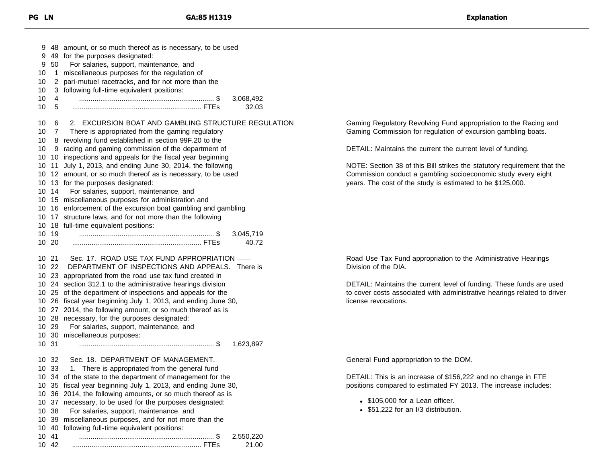| 9<br>50<br>9<br>1<br>10<br>2<br>10<br>10<br>10<br>4<br>10<br>5 | 48 amount, or so much thereof as is necessary, to be used<br>49 for the purposes designated:<br>For salaries, support, maintenance, and<br>miscellaneous purposes for the regulation of<br>pari-mutuel racetracks, and for not more than the<br>3 following full-time equivalent positions:<br>3,068,492<br>32.03                                                                                                                                                                             |                                                                                                                                                                                                         |
|----------------------------------------------------------------|-----------------------------------------------------------------------------------------------------------------------------------------------------------------------------------------------------------------------------------------------------------------------------------------------------------------------------------------------------------------------------------------------------------------------------------------------------------------------------------------------|---------------------------------------------------------------------------------------------------------------------------------------------------------------------------------------------------------|
| 6<br>10<br>10<br>7                                             | 2. EXCURSION BOAT AND GAMBLING STRUCTURE REGULATION<br>There is appropriated from the gaming regulatory                                                                                                                                                                                                                                                                                                                                                                                       | Gaming Regulatory Revolving Fund appropriation to the Racing and<br>Gaming Commission for regulation of excursion gambling boats.                                                                       |
| 10<br>10                                                       | 8 revolving fund established in section 99F.20 to the<br>9 racing and gaming commission of the department of                                                                                                                                                                                                                                                                                                                                                                                  | DETAIL: Maintains the current the current level of funding.                                                                                                                                             |
| 10.<br>10<br>10<br>14<br>10<br>10.                             | 10 10 inspections and appeals for the fiscal year beginning<br>10 11 July 1, 2013, and ending June 30, 2014, the following<br>12 amount, or so much thereof as is necessary, to be used<br>13 for the purposes designated:<br>For salaries, support, maintenance, and<br>15 miscellaneous purposes for administration and<br>16 enforcement of the excursion boat gambling and gambling<br>10 17 structure laws, and for not more than the following<br>10 18 full-time equivalent positions: | NOTE: Section 38 of this Bill strikes the statutory requirement that the<br>Commission conduct a gambling socioeconomic study every eight<br>years. The cost of the study is estimated to be \$125,000. |
| 10 19<br>10 20                                                 | 3,045,719<br>40.72                                                                                                                                                                                                                                                                                                                                                                                                                                                                            |                                                                                                                                                                                                         |
| 10 21<br>10 22<br>10<br>10                                     | Sec. 17. ROAD USE TAX FUND APPROPRIATION -<br>DEPARTMENT OF INSPECTIONS AND APPEALS. There is<br>23 appropriated from the road use tax fund created in<br>24 section 312.1 to the administrative hearings division                                                                                                                                                                                                                                                                            | Road Use Tax Fund appropriation to the Administrative Hearings<br>Division of the DIA.<br>DETAIL: Maintains the current level of funding. These funds are used                                          |
| 10<br>10<br>10<br>10<br>10 29<br>10 31                         | 25 of the department of inspections and appeals for the<br>26 fiscal year beginning July 1, 2013, and ending June 30,<br>27 2014, the following amount, or so much thereof as is<br>28 necessary, for the purposes designated:<br>For salaries, support, maintenance, and<br>10 30 miscellaneous purposes:<br>1,623,897                                                                                                                                                                       | to cover costs associated with administrative hearings related to driver<br>license revocations.                                                                                                        |
| -32<br>10                                                      | Sec. 18. DEPARTMENT OF MANAGEMENT.                                                                                                                                                                                                                                                                                                                                                                                                                                                            | General Fund appropriation to the DOM.                                                                                                                                                                  |
| 10 33                                                          | 1. There is appropriated from the general fund<br>10 34 of the state to the department of management for the<br>10 35 fiscal year beginning July 1, 2013, and ending June 30,<br>36 2014, the following amounts, or so much thereof as is                                                                                                                                                                                                                                                     | DETAIL: This is an increase of \$156,222 and no change in FTE<br>positions compared to estimated FY 2013. The increase includes:                                                                        |
| 10<br>10<br>38<br>39<br>10<br>10<br>40                         | 37 necessary, to be used for the purposes designated:<br>For salaries, support, maintenance, and<br>miscellaneous purposes, and for not more than the<br>following full-time equivalent positions:                                                                                                                                                                                                                                                                                            | • \$105,000 for a Lean officer.<br>• \$51,222 for an I/3 distribution.                                                                                                                                  |
| 10 41<br>10 42                                                 | 2,550,220<br>21.00                                                                                                                                                                                                                                                                                                                                                                                                                                                                            |                                                                                                                                                                                                         |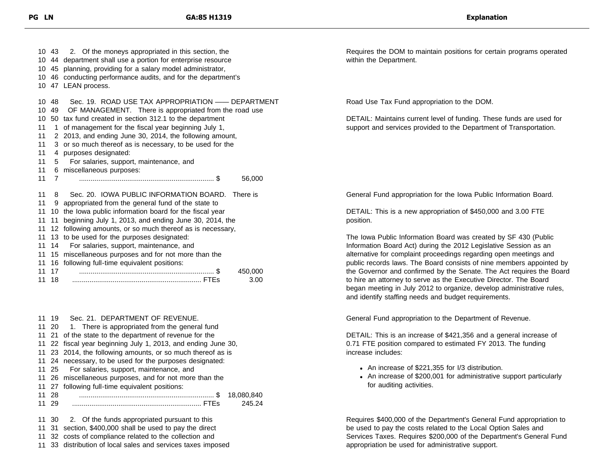|    | 10 43       | 2. Of the moneys appropriated in this section, the            |  |  |  |
|----|-------------|---------------------------------------------------------------|--|--|--|
|    |             | 10 44 department shall use a portion for enterprise resource  |  |  |  |
|    |             | 10 45 planning, providing for a salary model administrator,   |  |  |  |
|    |             | 10 46 conducting performance audits, and for the department's |  |  |  |
|    |             | 10 47 LEAN process.                                           |  |  |  |
|    |             |                                                               |  |  |  |
| 10 | - 48        | Sec. 19. ROAD USE TAX APPROPRIATION — DEPARTMENT              |  |  |  |
| 10 | 49          | OF MANAGEMENT. There is appropriated from the road use        |  |  |  |
| 10 |             | 50 tax fund created in section 312.1 to the department        |  |  |  |
| 11 | $\mathbf 1$ | of management for the fiscal year beginning July 1,           |  |  |  |
| 11 |             | 2 2013, and ending June 30, 2014, the following amount,       |  |  |  |
| 11 |             | 3 or so much thereof as is necessary, to be used for the      |  |  |  |
| 11 | 4           | purposes designated:                                          |  |  |  |
| 11 | 5           | For salaries, support, maintenance, and                       |  |  |  |
| 11 |             | 6 miscellaneous purposes:                                     |  |  |  |
| 11 | 7           | 56,000                                                        |  |  |  |
|    |             |                                                               |  |  |  |
| 11 | 8           | Sec. 20. IOWA PUBLIC INFORMATION BOARD.<br>There is           |  |  |  |
| 11 | 9           | appropriated from the general fund of the state to            |  |  |  |
| 11 | 10          | the lowa public information board for the fiscal year         |  |  |  |
| 11 | 11          | beginning July 1, 2013, and ending June 30, 2014, the         |  |  |  |
| 11 |             | 12 following amounts, or so much thereof as is necessary,     |  |  |  |
| 11 | 13          | to be used for the purposes designated:                       |  |  |  |
| 11 | 14          | For salaries, support, maintenance, and                       |  |  |  |
| 11 | 15          | miscellaneous purposes and for not more than the              |  |  |  |
| 11 | 16          | following full-time equivalent positions:                     |  |  |  |
| 11 | 17          | 450,000                                                       |  |  |  |
| 11 | 18          | 3.00                                                          |  |  |  |

| 11 19 | Sec. 21. DEPARTMENT OF REVENUE.                               |  |  |
|-------|---------------------------------------------------------------|--|--|
|       | 11 20 1. There is appropriated from the general fund          |  |  |
|       | 11 21 of the state to the department of revenue for the       |  |  |
|       | 11 22 fiscal year beginning July 1, 2013, and ending June 30, |  |  |
|       | 11 23 2014, the following amounts, or so much thereof as is   |  |  |
|       | 11 24 necessary, to be used for the purposes designated:      |  |  |
| 11 25 | For salaries, support, maintenance, and                       |  |  |
|       | 11 26 miscellaneous purposes, and for not more than the       |  |  |
|       | 11 27 following full-time equivalent positions:               |  |  |
| 11 28 | 18.080.840                                                    |  |  |
| 11 29 | 245.24                                                        |  |  |
|       |                                                               |  |  |
| 11 30 | 2. Of the funds appropriated pursuant to this                 |  |  |
|       | 11 31 section, \$400,000 shall be used to pay the direct      |  |  |
|       |                                                               |  |  |

11 32 costs of compliance related to the collection and

11 33 distribution of local sales and services taxes imposed

Requires the DOM to maintain positions for certain programs operated within the Department.

Road Use Tax Fund appropriation to the DOM.

DETAIL: Maintains current level of funding. These funds are used for support and services provided to the Department of Transportation.

General Fund appropriation for the Iowa Public Information Board.

DETAIL: This is a new appropriation of \$450,000 and 3.00 FTE position.

The Iowa Public Information Board was created by SF 430 (Public Information Board Act) during the 2012 Legislative Session as an alternative for complaint proceedings regarding open meetings and public records laws. The Board consists of nine members appointed by the Governor and confirmed by the Senate. The Act requires the Board to hire an attorney to serve as the Executive Director. The Board began meeting in July 2012 to organize, develop administrative rules, and identify staffing needs and budget requirements.

General Fund appropriation to the Department of Revenue.

DETAIL: This is an increase of \$421,356 and a general increase of 0.71 FTE position compared to estimated FY 2013. The funding increase includes:

- An increase of \$221,355 for I/3 distribution.
- An increase of \$200,001 for administrative support particularly for auditing activities.

Requires \$400,000 of the Department's General Fund appropriation to be used to pay the costs related to the Local Option Sales and Services Taxes. Requires \$200,000 of the Department's General Fund appropriation be used for administrative support.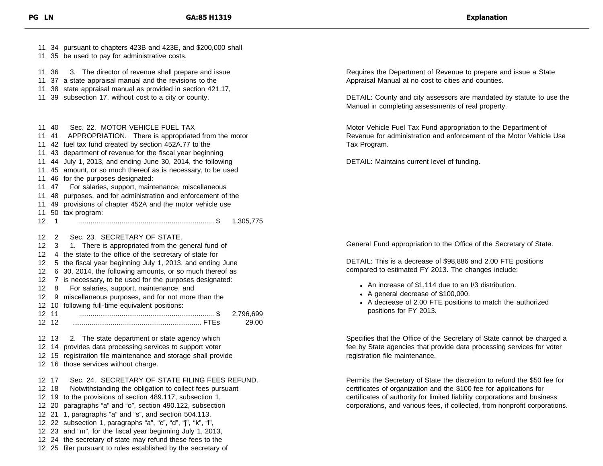| 11 34 pursuant to chapters 423B and 423E, and \$200,000 shall<br>11 35 be used to pay for administrative costs.                                                                                           |                                                                                                                                                  |
|-----------------------------------------------------------------------------------------------------------------------------------------------------------------------------------------------------------|--------------------------------------------------------------------------------------------------------------------------------------------------|
| 3. The director of revenue shall prepare and issue<br>11 36<br>11 37 a state appraisal manual and the revisions to the<br>38 state appraisal manual as provided in section 421.17,                        | Requires the Department of Revenue to prepare and issue a State<br>Appraisal Manual at no cost to cities and counties.                           |
| 11 39 subsection 17, without cost to a city or county.                                                                                                                                                    | DETAIL: County and city assessors are mandated by statute to use the<br>Manual in completing assessments of real property.                       |
| Sec. 22. MOTOR VEHICLE FUEL TAX<br>11 40<br>APPROPRIATION. There is appropriated from the motor<br>41<br>11                                                                                               | Motor Vehicle Fuel Tax Fund appropriation to the Department of<br>Revenue for administration and enforcement of the Motor Vehicle Use            |
| 11 42 fuel tax fund created by section 452A.77 to the<br>43 department of revenue for the fiscal year beginning<br>11                                                                                     | Tax Program.                                                                                                                                     |
| 44 July 1, 2013, and ending June 30, 2014, the following<br>11<br>11 45 amount, or so much thereof as is necessary, to be used                                                                            | DETAIL: Maintains current level of funding.                                                                                                      |
| 11 46 for the purposes designated:<br>For salaries, support, maintenance, miscellaneous<br>11 47                                                                                                          |                                                                                                                                                  |
| 48 purposes, and for administration and enforcement of the<br>11<br>49 provisions of chapter 452A and the motor vehicle use<br>11                                                                         |                                                                                                                                                  |
| 11 50 tax program:                                                                                                                                                                                        |                                                                                                                                                  |
| $12 \quad 1$<br>1,305,775                                                                                                                                                                                 |                                                                                                                                                  |
| Sec. 23. SECRETARY OF STATE.<br>12 <sup>°</sup><br>$\overline{2}$<br>1. There is appropriated from the general fund of<br>$12 \,$<br>- 3<br>4 the state to the office of the secretary of state for<br>12 | General Fund appropriation to the Office of the Secretary of State.                                                                              |
| 5 the fiscal year beginning July 1, 2013, and ending June<br>12<br>6 30, 2014, the following amounts, or so much thereof as<br>12                                                                         | DETAIL: This is a decrease of \$98,886 and 2.00 FTE positions<br>compared to estimated FY 2013. The changes include:                             |
| 12 7 is necessary, to be used for the purposes designated:<br>For salaries, support, maintenance, and<br>$12 \quad 8$                                                                                     | • An increase of \$1,114 due to an I/3 distribution.<br>• A general decrease of \$100,000.                                                       |
| 9 miscellaneous purposes, and for not more than the<br>12<br>12 10 following full-time equivalent positions:                                                                                              | • A decrease of 2.00 FTE positions to match the authorized                                                                                       |
| 12 11<br>2,796,699<br>12 12<br>29.00                                                                                                                                                                      | positions for FY 2013.                                                                                                                           |
| 2. The state department or state agency which<br>12 13                                                                                                                                                    | Specifies that the Office of the Secretary of State cannot be charged a                                                                          |
| 12 14 provides data processing services to support voter<br>12 15 registration file maintenance and storage shall provide                                                                                 | fee by State agencies that provide data processing services for voter<br>registration file maintenance.                                          |
| 12 16 those services without charge.                                                                                                                                                                      |                                                                                                                                                  |
| Sec. 24. SECRETARY OF STATE FILING FEES REFUND.<br>12 17                                                                                                                                                  | Permits the Secretary of State the discretion to refund the \$50 fee for                                                                         |
| Notwithstanding the obligation to collect fees pursuant<br>12 18<br>12 19 to the provisions of section 489.117, subsection 1,                                                                             | certificates of organization and the \$100 fee for applications for<br>certificates of authority for limited liability corporations and business |
| 12 20 paragraphs "a" and "o", section 490.122, subsection                                                                                                                                                 | corporations, and various fees, if collected, from nonprofit corporations.                                                                       |
| 12 21 1, paragraphs "a" and "s", and section 504.113,<br>12 22 subsection 1, paragraphs "a", "c", "d", "j", "k", "l",                                                                                     |                                                                                                                                                  |
| 12 23 and "m", for the fiscal year beginning July 1, 2013,                                                                                                                                                |                                                                                                                                                  |
| 12 24 the secretary of state may refund these fees to the                                                                                                                                                 |                                                                                                                                                  |
| 12 25 filer pursuant to rules established by the secretary of                                                                                                                                             |                                                                                                                                                  |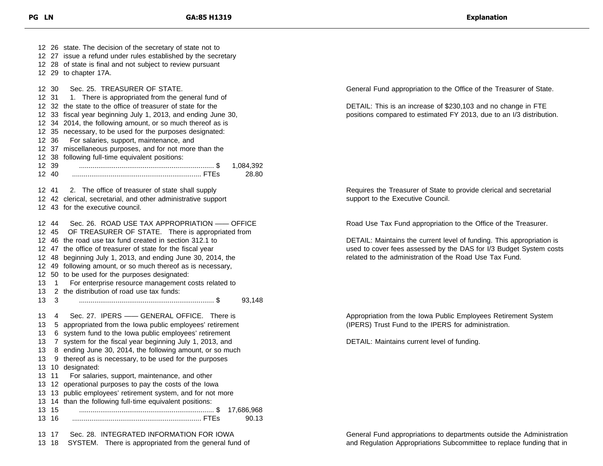26 state. The decision of the secretary of state not to 27 issue a refund under rules established by the secretary 28 of state is final and not subject to review pursuant 29 to chapter 17A. 30 Sec. 25. TREASURER OF STATE. 12 31 1. There is appropriated from the general fund of 32 the state to the office of treasurer of state for the 33 fiscal year beginning July 1, 2013, and ending June 30, 34 2014, the following amount, or so much thereof as is 35 necessary, to be used for the purposes designated: 36 For salaries, support, maintenance, and 37 miscellaneous purposes, and for not more than the 38 following full-time equivalent positions: 39 ...................................................................... \$ 1,084,392 40 ................................................................... FTEs 28.80 41 2. The office of treasurer of state shall supply 42 clerical, secretarial, and other administrative support 43 for the executive council. 44 Sec. 26. ROAD USE TAX APPROPRIATION —— OFFICE 45 OF TREASURER OF STATE. There is appropriated from 46 the road use tax fund created in section 312.1 to 47 the office of treasurer of state for the fiscal year 48 beginning July 1, 2013, and ending June 30, 2014, the 49 following amount, or so much thereof as is necessary, 50 to be used for the purposes designated: 1 For enterprise resource management costs related to 2 the distribution of road use tax funds: 3 ...................................................................... \$ 93,148 4 Sec. 27. IPERS —— GENERAL OFFICE. There is 5 appropriated from the Iowa public employees' retirement 6 system fund to the Iowa public employees' retirement 7 system for the fiscal year beginning July 1, 2013, and 8 ending June 30, 2014, the following amount, or so much 9 thereof as is necessary, to be used for the purposes 10 designated: 11 For salaries, support, maintenance, and other 12 operational purposes to pay the costs of the Iowa 13 public employees' retirement system, and for not more 14 than the following full-time equivalent positions: 15 ...................................................................... \$ 17,686,968 16 ................................................................... FTEs 90.13 17 Sec. 28. INTEGRATED INFORMATION FOR IOWA

18 SYSTEM. There is appropriated from the general fund of

General Fund appropriation to the Office of the Treasurer of State.

DETAIL: This is an increase of \$230,103 and no change in FTE positions compared to estimated FY 2013, due to an I/3 distribution.

Requires the Treasurer of State to provide clerical and secretarial support to the Executive Council.

Road Use Tax Fund appropriation to the Office of the Treasurer.

DETAIL: Maintains the current level of funding. This appropriation is used to cover fees assessed by the DAS for I/3 Budget System costs related to the administration of the Road Use Tax Fund.

Appropriation from the Iowa Public Employees Retirement System (IPERS) Trust Fund to the IPERS for administration.

DETAIL: Maintains current level of funding.

General Fund appropriations to departments outside the Administration and Regulation Appropriations Subcommittee to replace funding that in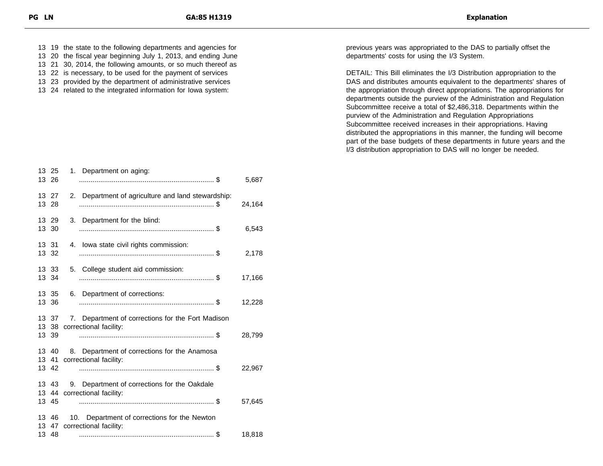19 the state to the following departments and agencies for 20 the fiscal year beginning July 1, 2013, and ending June

- 21 30, 2014, the following amounts, or so much thereof as
- 22 is necessary, to be used for the payment of services
- 23 provided by the department of administrative services
- 24 related to the integrated information for Iowa system:

| 13 25          | 13 26                   | 1. Department on aging:                                                     | 5,687  |
|----------------|-------------------------|-----------------------------------------------------------------------------|--------|
| 13 27          | 13 28                   | 2. Department of agriculture and land stewardship:                          | 24,164 |
| 13 29<br>13 30 |                         | 3. Department for the blind:                                                | 6,543  |
| 13 31          | 13 32                   | 4. Iowa state civil rights commission:                                      | 2,178  |
|                | 13 33<br>13 34          | 5. College student aid commission:                                          | 17,166 |
| 13             | 13 35<br>36             | 6. Department of corrections:                                               | 12,228 |
| 13 39          | 13 37<br>13 38          | 7. Department of corrections for the Fort Madison<br>correctional facility: | 28,799 |
|                | 13 40<br>13 41<br>13 42 | 8. Department of corrections for the Anamosa<br>correctional facility:      | 22,967 |
|                | 13 43<br>13 44<br>13 45 | 9. Department of corrections for the Oakdale<br>correctional facility:      | 57,645 |
|                | 13 46<br>13 47<br>13 48 | 10. Department of corrections for the Newton<br>correctional facility:      | 18,818 |

previous years was appropriated to the DAS to partially offset the departments' costs for using the I/3 System.

DETAIL: This Bill eliminates the I/3 Distribution appropriation to the DAS and distributes amounts equivalent to the departments' shares of the appropriation through direct appropriations. The appropriations for departments outside the purview of the Administration and Regulation Subcommittee receive a total of \$2,486,318. Departments within the purview of the Administration and Regulation Appropriations Subcommittee received increases in their appropriations. Having distributed the appropriations in this manner, the funding will become part of the base budgets of these departments in future years and the I/3 distribution appropriation to DAS will no longer be needed.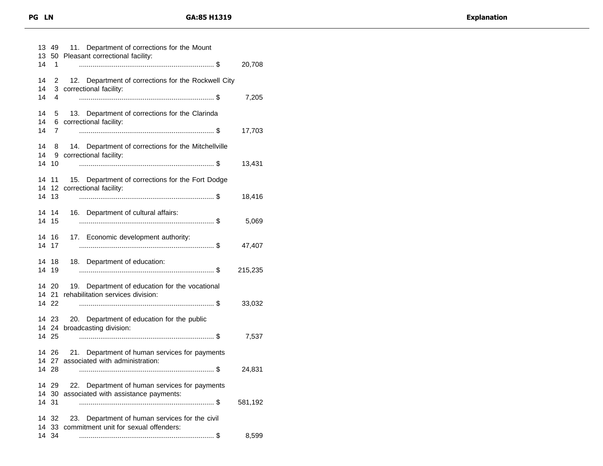| 13<br>13 | 49               | 11. Department of corrections for the Mount<br>50 Pleasant correctional facility:                |         |
|----------|------------------|--------------------------------------------------------------------------------------------------|---------|
| 14       | 1                |                                                                                                  | 20,708  |
| 14       | 2                | 12. Department of corrections for the Rockwell City                                              |         |
| 14<br>14 | 4                | 3 correctional facility:                                                                         | 7,205   |
| 14       | 5                | 13. Department of corrections for the Clarinda                                                   |         |
| 14       | 6                | correctional facility:                                                                           |         |
| 14       | 7                |                                                                                                  | 17,703  |
| 14       | 8                | 14. Department of corrections for the Mitchellville                                              |         |
| 14<br>14 | 10               | 9 correctional facility:                                                                         | 13,431  |
| 14       | 11               |                                                                                                  |         |
| 14       | 12 <sup>12</sup> | 15. Department of corrections for the Fort Dodge<br>correctional facility:                       |         |
| 14       | 13               |                                                                                                  | 18,416  |
|          | 14 14            | 16. Department of cultural affairs:                                                              |         |
| 14       | 15               |                                                                                                  | 5,069   |
|          | 14 16            | 17. Economic development authority:                                                              |         |
| 14       | 17               |                                                                                                  | 47,407  |
| 14<br>14 | 18<br>19         | 18. Department of education:                                                                     |         |
|          |                  |                                                                                                  | 215,235 |
|          | 14 20<br>14 21   | 19. Department of education for the vocational<br>rehabilitation services division:              |         |
|          | 14 22            |                                                                                                  | 33,032  |
|          | 14 23            | 20. Department of education for the public                                                       |         |
|          | 14 24            | broadcasting division:                                                                           |         |
|          | 14 25            |                                                                                                  | 7,537   |
|          | 14 26<br>14 27   | Department of human services for payments<br>21.<br>associated with administration:              |         |
|          | 14 28            |                                                                                                  | 24,831  |
|          | 14 29            | Department of human services for payments<br>22.                                                 |         |
|          | 14 30            | associated with assistance payments:                                                             |         |
|          | 14 31            |                                                                                                  | 581,192 |
|          | 14 32            | Department of human services for the civil<br>23.<br>14 33 commitment unit for sexual offenders: |         |
|          | 14 34            |                                                                                                  | 8,599   |
|          |                  |                                                                                                  |         |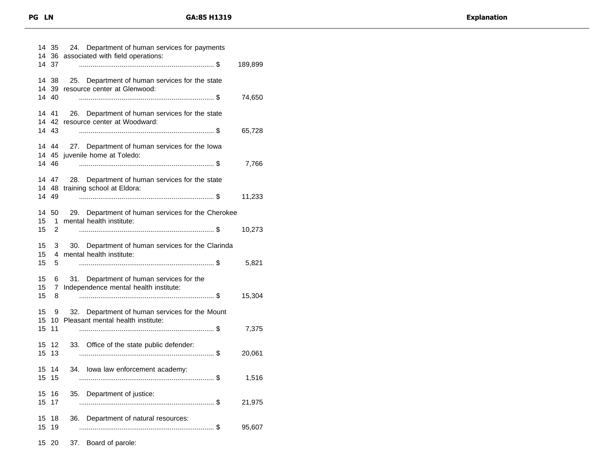|                | 14 35<br>14 36      | 24. Department of human services for payments<br>associated with field operations:      |         |
|----------------|---------------------|-----------------------------------------------------------------------------------------|---------|
|                | 14 37               |                                                                                         | 189,899 |
|                | 14 38               | Department of human services for the state<br>25.<br>14 39 resource center at Glenwood: |         |
| 14             | 40                  |                                                                                         | 74,650  |
|                | 14 41               | 26. Department of human services for the state<br>14 42 resource center at Woodward:    |         |
|                | 14 43               |                                                                                         | 65,728  |
|                |                     | 14 44 27. Department of human services for the lowa<br>14 45 juvenile home at Toledo:   |         |
|                | 14 46               |                                                                                         | 7,766   |
|                | 14 47<br>14 49      | 28. Department of human services for the state<br>14 48 training school at Eldora:      | 11,233  |
|                | 50                  |                                                                                         |         |
| 14<br>15<br>15 | 1.<br>2             | 29. Department of human services for the Cherokee<br>mental health institute:           | 10,273  |
| 15             | 3                   | 30.<br>Department of human services for the Clarinda                                    |         |
| 15<br>15       | 4<br>5              | mental health institute:                                                                | 5,821   |
| 15             | 6                   | 31. Department of human services for the                                                |         |
| 15<br>15       | $\overline{7}$<br>8 | Independence mental health institute:                                                   | 15,304  |
| 15             | 9                   | 32. Department of human services for the Mount                                          |         |
|                |                     | 15 10 Pleasant mental health institute:                                                 |         |
| 15             | 11                  |                                                                                         | 7,375   |
| 15<br>15       | -12<br>13           | 33. Office of the state public defender:                                                | 20,061  |
|                | 15 14<br>15 15      | 34. Iowa law enforcement academy:                                                       | 1,516   |
| 15             | 15 16<br>17         | Department of justice:<br>35.                                                           | 21,975  |
| 15             | 18                  | Department of natural resources:<br>36.                                                 |         |
| 15             | 19                  |                                                                                         | 95,607  |
| 15             | 20                  | Board of parole:<br>37.                                                                 |         |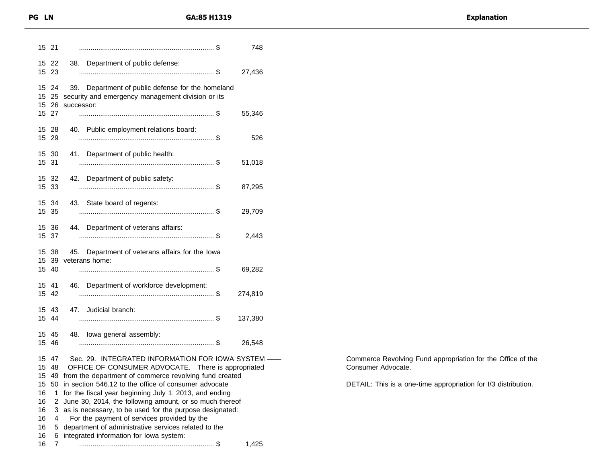| 15 21 |                         | 748                                                                                                                  |
|-------|-------------------------|----------------------------------------------------------------------------------------------------------------------|
|       | 15 22<br>15 23          | 38. Department of public defense:<br>27,436                                                                          |
|       | 15 24<br>15 25<br>15 26 | 39. Department of public defense for the homeland<br>security and emergency management division or its<br>successor: |
|       | 15 27                   | 55,346                                                                                                               |
|       | 15 28<br>15 29          | 40. Public employment relations board:<br>526                                                                        |
| 15 31 | 15 30                   | 41. Department of public health:<br>51,018                                                                           |
|       | 15 32<br>15 33          | 42. Department of public safety:<br>87,295                                                                           |
|       | 15 34<br>15 35          | 43. State board of regents:<br>29,709                                                                                |
|       | 15 36<br>15 37          | 44. Department of veterans affairs:<br>2,443                                                                         |
|       | 15 38<br>15 39          | 45. Department of veterans affairs for the lowa<br>veterans home:                                                    |
|       | 15 40                   | 69,282                                                                                                               |
| 15 41 | 15 42                   | 46. Department of workforce development:<br>274,819                                                                  |
|       | 15 43<br>15 44          | 47. Judicial branch:<br>137,380                                                                                      |
|       | 15 45<br>15 46          | 48. Iowa general assembly:<br>26,548                                                                                 |
|       | 15 47                   | Sec. 29. INTEGRATED INFORMATION FOR IOWA SYSTEM -                                                                    |
|       | 15 48                   | OFFICE OF CONSUMER ADVOCATE. There is appropriated<br>15 49 from the department of commerce revolving fund created   |
|       |                         | 15 50 in section 546.12 to the office of consumer advocate                                                           |
| 16    | 1                       | for the fiscal year beginning July 1, 2013, and ending                                                               |
| 16    | 2                       | June 30, 2014, the following amount, or so much thereof                                                              |
| 16    | 3                       | as is necessary, to be used for the purpose designated:                                                              |
| 16    | 4                       | For the payment of services provided by the                                                                          |
| 16    | 5                       | department of administrative services related to the                                                                 |
| 16    | 6                       | integrated information for lowa system:                                                                              |
| 16    | 7                       | 1,425                                                                                                                |

Commerce Revolving Fund appropriation for the Office of the Consumer Advocate.

DETAIL: This is a one-time appropriation for I/3 distribution.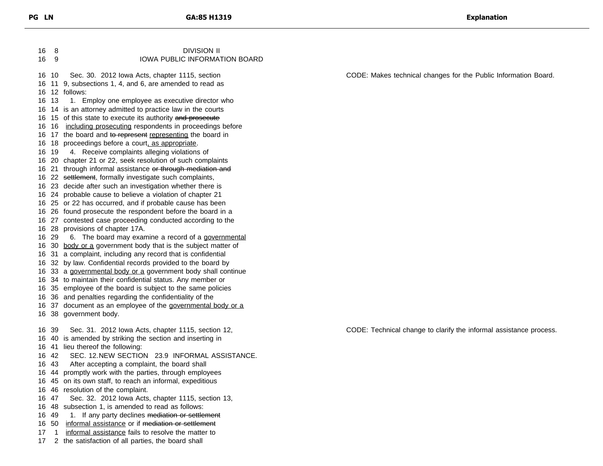8 DIVISION II 9 IOWA PUBLIC INFORMATION BOARD 10 Sec. 30. 2012 Iowa Acts, chapter 1115, section 11 9, subsections 1, 4, and 6, are amended to read as 12 follows: 16 13 1. Employ one employee as executive director who 14 is an attorney admitted to practice law in the courts 16 15 of this state to execute its authority and prosecute 16 16 including prosecuting respondents in proceedings before 16 17 the board and to represent representing the board in 16 18 proceedings before a court, as appropriate. 19 4. Receive complaints alleging violations of 20 chapter 21 or 22, seek resolution of such complaints 16 21 through informal assistance or through mediation and 16 22 settlement, formally investigate such complaints, 23 decide after such an investigation whether there is 24 probable cause to believe a violation of chapter 21 25 or 22 has occurred, and if probable cause has been 26 found prosecute the respondent before the board in a 27 contested case proceeding conducted according to the 28 provisions of chapter 17A. 29 6. The board may examine a record of a governmental 16 30 body or a government body that is the subject matter of 31 a complaint, including any record that is confidential 32 by law. Confidential records provided to the board by 16 33 a governmental body or a government body shall continue 34 to maintain their confidential status. Any member or 35 employee of the board is subject to the same policies 36 and penalties regarding the confidentiality of the 16 37 document as an employee of the governmental body or a 38 government body. 39 Sec. 31. 2012 Iowa Acts, chapter 1115, section 12, 40 is amended by striking the section and inserting in 41 lieu thereof the following: 42 SEC. 12.NEW SECTION 23.9 INFORMAL ASSISTANCE. 43 After accepting a complaint, the board shall 44 promptly work with the parties, through employees 45 on its own staff, to reach an informal, expeditious 46 resolution of the complaint. 47 Sec. 32. 2012 Iowa Acts, chapter 1115, section 13, 48 subsection 1, is amended to read as follows: 16 49 1. If any party declines mediation or settlement 16 50 informal assistance or if mediation or settlement 1 informal assistance fails to resolve the matter to 2 the satisfaction of all parties, the board shall CODE: Makes technical changes for the Public Information Board. CODE: Technical change to clarify the informal assistance process.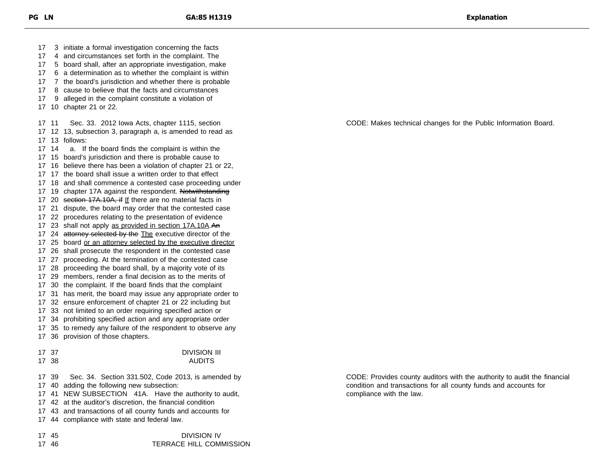3 initiate a formal investigation concerning the facts 4 and circumstances set forth in the complaint. The 5 board shall, after an appropriate investigation, make 6 a determination as to whether the complaint is within 7 the board's jurisdiction and whether there is probable 8 cause to believe that the facts and circumstances 9 alleged in the complaint constitute a violation of 10 chapter 21 or 22. 11 Sec. 33. 2012 Iowa Acts, chapter 1115, section 12 13, subsection 3, paragraph a, is amended to read as 13 follows: 14 a. If the board finds the complaint is within the 15 board's jurisdiction and there is probable cause to 16 believe there has been a violation of chapter 21 or 22, 17 the board shall issue a written order to that effect 18 and shall commence a contested case proceeding under 17 19 chapter 17A against the respondent. Notwithstanding 17 20 section 17A.10A, if If there are no material facts in 21 dispute, the board may order that the contested case 22 procedures relating to the presentation of evidence 17 23 shall not apply as provided in section 17A.10A.An 17 24 attorney selected by the The executive director of the 25 board or an attorney selected by the executive director 26 shall prosecute the respondent in the contested case 27 proceeding. At the termination of the contested case 28 proceeding the board shall, by a majority vote of its 29 members, render a final decision as to the merits of 30 the complaint. If the board finds that the complaint 31 has merit, the board may issue any appropriate order to 32 ensure enforcement of chapter 21 or 22 including but 33 not limited to an order requiring specified action or 34 prohibiting specified action and any appropriate order 35 to remedy any failure of the respondent to observe any 36 provision of those chapters. 37 DIVISION III 17 38 AUDITS 39 Sec. 34. Section 331.502, Code 2013, is amended by 40 adding the following new subsection: 41 NEW SUBSECTION 41A. Have the authority to audit, 42 at the auditor's discretion, the financial condition 43 and transactions of all county funds and accounts for 44 compliance with state and federal law.

45 DIVISION IV

46 TERRACE HILL COMMISSION

CODE: Makes technical changes for the Public Information Board.

CODE: Provides county auditors with the authority to audit the financial condition and transactions for all county funds and accounts for compliance with the law.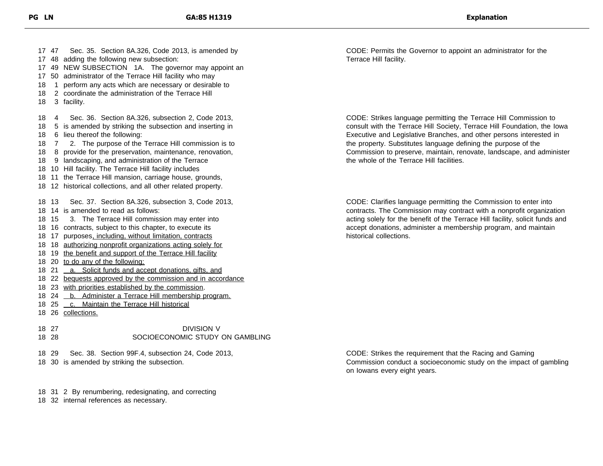47 Sec. 35. Section 8A.326, Code 2013, is amended by 48 adding the following new subsection: 49 NEW SUBSECTION 1A. The governor may appoint an 50 administrator of the Terrace Hill facility who may 18 1 perform any acts which are necessary or desirable to 2 coordinate the administration of the Terrace Hill 3 facility. 4 Sec. 36. Section 8A.326, subsection 2, Code 2013, 5 is amended by striking the subsection and inserting in 6 lieu thereof the following: 7 2. The purpose of the Terrace Hill commission is to 8 provide for the preservation, maintenance, renovation, 9 landscaping, and administration of the Terrace 10 Hill facility. The Terrace Hill facility includes 11 the Terrace Hill mansion, carriage house, grounds, 12 historical collections, and all other related property. 13 Sec. 37. Section 8A.326, subsection 3, Code 2013, 14 is amended to read as follows: 15 3. The Terrace Hill commission may enter into 16 contracts, subject to this chapter, to execute its 18 17 purposes, including, without limitation, contracts 18 authorizing nonprofit organizations acting solely for 18 19 the benefit and support of the Terrace Hill facility 20 to do any of the following: 18 21 a. Solicit funds and accept donations, gifts, and 22 bequests approved by the commission and in accordance 18 23 with priorities established by the commission. 18 24 <u>b. Administer a Terrace Hill membership program.</u> 25 c. Maintain the Terrace Hill historical 26 collections. 27 DIVISION V

- 18 28 SOCIOECONOMIC STUDY ON GAMBLING
- 18 29 Sec. 38. Section 99F.4, subsection 24, Code 2013,
- 18 30 is amended by striking the subsection.

18 31 2 By renumbering, redesignating, and correcting

18 32 internal references as necessary.

CODE: Permits the Governor to appoint an administrator for the Terrace Hill facility.

CODE: Strikes language permitting the Terrace Hill Commission to consult with the Terrace Hill Society, Terrace Hill Foundation, the Iowa Executive and Legislative Branches, and other persons interested in the property. Substitutes language defining the purpose of the Commission to preserve, maintain, renovate, landscape, and administer the whole of the Terrace Hill facilities.

CODE: Clarifies language permitting the Commission to enter into contracts. The Commission may contract with a nonprofit organization acting solely for the benefit of the Terrace Hill facility, solicit funds and accept donations, administer a membership program, and maintain historical collections.

CODE: Strikes the requirement that the Racing and Gaming Commission conduct a socioeconomic study on the impact of gambling on Iowans every eight years.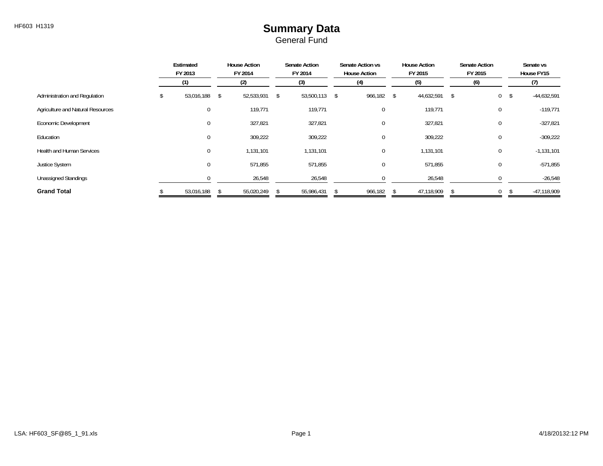#### HF603 H1319 **Summary Data** General Fund

|                                   | Estimated<br>FY 2013 | <b>House Action</b><br>FY 2014 | <b>Senate Action</b><br>FY 2014 | Senate Action vs<br><b>House Action</b> | <b>House Action</b><br>FY 2015 | <b>Senate Action</b><br>FY 2015 | Senate vs<br>House FY15 |
|-----------------------------------|----------------------|--------------------------------|---------------------------------|-----------------------------------------|--------------------------------|---------------------------------|-------------------------|
|                                   | (1)                  | (2)                            | (3)                             | (4)                                     | (5)                            | (6)                             | (7)                     |
| Administration and Regulation     | 53,016,188           | 52,533,931<br>\$               | 53,500,113 \$<br>\$             | 966,182 \$                              | 44,632,591                     | $\overline{0}$<br>$\mathcal{S}$ | $-44,632,591$<br>-\$    |
| Agriculture and Natural Resources | $\mathbf 0$          | 119,771                        | 119,771                         | $\mathbf 0$                             | 119,771                        | 0                               | $-119,771$              |
| Economic Development              | $\mathbf{0}$         | 327,821                        | 327,821                         | $\mathbf 0$                             | 327,821                        | 0                               | $-327,821$              |
| Education                         | $\mathbf{0}$         | 309,222                        | 309,222                         | 0                                       | 309,222                        | 0                               | $-309,222$              |
| <b>Health and Human Services</b>  | $\mathbf{0}$         | 1,131,101                      | 1,131,101                       | $\mathbf 0$                             | 1,131,101                      | 0                               | $-1,131,101$            |
| <b>Justice System</b>             | $\mathbf 0$          | 571,855                        | 571,855                         | 0                                       | 571,855                        | 0                               | $-571,855$              |
| <b>Unassigned Standings</b>       |                      | 26,548                         | 26,548                          |                                         | 26,548                         |                                 | $-26,548$               |
| <b>Grand Total</b>                | 53,016,188           | 55,020,249                     | 55,986,431                      | 966,182                                 | 47,118,909                     | 0                               | -47,118,909             |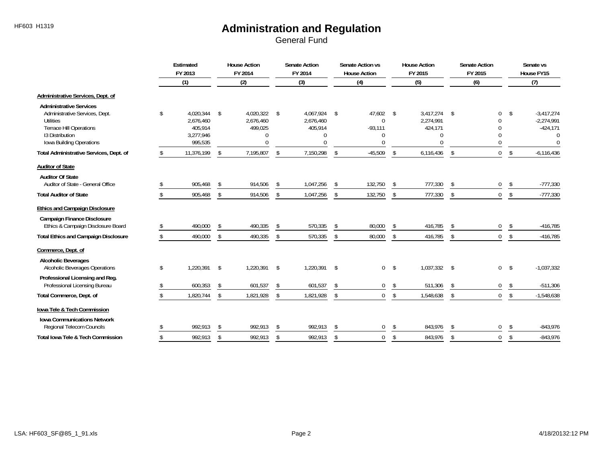|                                                                                                                                                                |               | Estimated<br>FY 2013                                      |                | <b>House Action</b><br>FY 2014                 |               | <b>Senate Action</b><br>FY 2014                |                | Senate Action vs<br><b>House Action</b> |                | <b>House Action</b><br>FY 2015                            | <b>Senate Action</b><br>FY 2015 |                                                              |               | Senate vs<br>House FY15                                            |
|----------------------------------------------------------------------------------------------------------------------------------------------------------------|---------------|-----------------------------------------------------------|----------------|------------------------------------------------|---------------|------------------------------------------------|----------------|-----------------------------------------|----------------|-----------------------------------------------------------|---------------------------------|--------------------------------------------------------------|---------------|--------------------------------------------------------------------|
|                                                                                                                                                                |               | (1)                                                       |                | (2)                                            |               | (3)                                            |                | (4)                                     |                | (5)                                                       |                                 | (6)                                                          |               | (7)                                                                |
| Administrative Services, Dept. of                                                                                                                              |               |                                                           |                |                                                |               |                                                |                |                                         |                |                                                           |                                 |                                                              |               |                                                                    |
| <b>Administrative Services</b><br>Administrative Services, Dept.<br>Utilities<br><b>Terrace Hill Operations</b><br>13 Distribution<br>Iowa Building Operations | \$            | 4,020,344<br>2,676,460<br>405,914<br>3,277,946<br>995,535 | \$             | 4,020,322 \$<br>2,676,460<br>499,025<br>N<br>U |               | 4,067,924 \$<br>2,676,460<br>405,914<br>0<br>O |                | 47,602<br>0<br>$-93,111$<br>0<br>0      | $\mathsf{\$}$  | 3,417,274<br>2,274,991<br>424,171<br>$\Omega$<br>$\Omega$ | -\$                             | $\mathbf{0}$<br>$\Omega$<br>$\Omega$<br>$\Omega$<br>$\Omega$ | \$            | $-3,417,274$<br>$-2,274,991$<br>$-424,171$<br>$\Omega$<br>$\Omega$ |
| Total Administrative Services, Dept. of                                                                                                                        | \$.           | 11,376,199                                                | \$             | 7,195,807                                      | \$            | 7,150,298                                      | $\mathfrak{L}$ | $-45,509$                               | $\mathfrak{L}$ | 6,116,436                                                 | \$                              | $\mathbf{0}$                                                 | \$            | $-6,116,436$                                                       |
| <b>Auditor of State</b>                                                                                                                                        |               |                                                           |                |                                                |               |                                                |                |                                         |                |                                                           |                                 |                                                              |               |                                                                    |
| <b>Auditor Of State</b><br>Auditor of State - General Office                                                                                                   |               | 905,468                                                   | \$             | 914,506                                        | \$            | 1,047,256                                      | \$             | 132,750                                 | \$             | 777,330                                                   | \$                              | $\overline{0}$                                               | \$            | $-777,330$                                                         |
| <b>Total Auditor of State</b>                                                                                                                                  | \$            | 905,468                                                   | \$             | 914,506                                        | \$            | 1,047,256                                      | \$             | 132,750                                 | \$             | 777,330                                                   | \$                              | $\mathbf 0$                                                  | $\mathsf{\$}$ | $-777,330$                                                         |
| <b>Ethics and Campaign Disclosure</b>                                                                                                                          |               |                                                           |                |                                                |               |                                                |                |                                         |                |                                                           |                                 |                                                              |               |                                                                    |
| <b>Campaign Finance Disclosure</b><br>Ethics & Campaign Disclosure Board                                                                                       |               | 490,000                                                   | $\mathfrak{L}$ | 490,335                                        | \$            | 570,335                                        | -\$            | 80,000                                  | \$             | 416,785                                                   | \$                              | $\mathbf 0$                                                  | \$            | $-416,785$                                                         |
| <b>Total Ethics and Campaign Disclosure</b>                                                                                                                    | $\mathcal{S}$ | 490,000                                                   | \$             | 490,335                                        | \$            | 570,335                                        | \$             | 80,000                                  | \$             | 416,785                                                   | \$                              | $\mathbf{0}$                                                 | $\mathsf{\$}$ | $-416,785$                                                         |
| Commerce, Dept. of                                                                                                                                             |               |                                                           |                |                                                |               |                                                |                |                                         |                |                                                           |                                 |                                                              |               |                                                                    |
| <b>Alcoholic Beverages</b><br>Alcoholic Beverages Operations                                                                                                   | \$            | 1.220.391                                                 | \$             | 1,220,391                                      | \$            | 1,220,391 \$                                   |                | 0                                       | $\mathsf{\$}$  | 1,037,332                                                 | -\$                             | $\mathbf 0$                                                  | - \$          | $-1,037,332$                                                       |
| Professional Licensing and Reg.<br>Professional Licensing Bureau                                                                                               |               | 600,353                                                   | \$             | 601,537                                        | \$            | 601,537                                        | -\$            | 0                                       | \$             | 511,306                                                   | Ŝ.                              | 0                                                            | \$            | $-511,306$                                                         |
| Total Commerce, Dept. of                                                                                                                                       |               | 1,820,744                                                 | \$             | 1,821,928                                      | \$            | 1,821,928                                      | \$             | 0                                       | \$             | 1,548,638                                                 | \$                              | $\mathbf{0}$                                                 | \$            | $-1,548,638$                                                       |
| Iowa Tele & Tech Commission                                                                                                                                    |               |                                                           |                |                                                |               |                                                |                |                                         |                |                                                           |                                 |                                                              |               |                                                                    |
| <b>Iowa Communications Network</b><br>Regional Telecom Councils                                                                                                |               | 992,913                                                   | $\mathfrak{L}$ | 992,913                                        | $\mathsf{\$}$ | 992,913                                        | \$             | 0                                       | \$             | 843,976                                                   | \$                              | $\Omega$                                                     | -S            | $-843,976$                                                         |
| <b>Total Iowa Tele &amp; Tech Commission</b>                                                                                                                   |               | 992,913                                                   | \$             | 992,913                                        | \$            | 992,913                                        | $\mathfrak{S}$ | 0                                       | \$             | 843,976                                                   | \$                              | $\mathbf 0$                                                  | $\mathcal{L}$ | $-843,976$                                                         |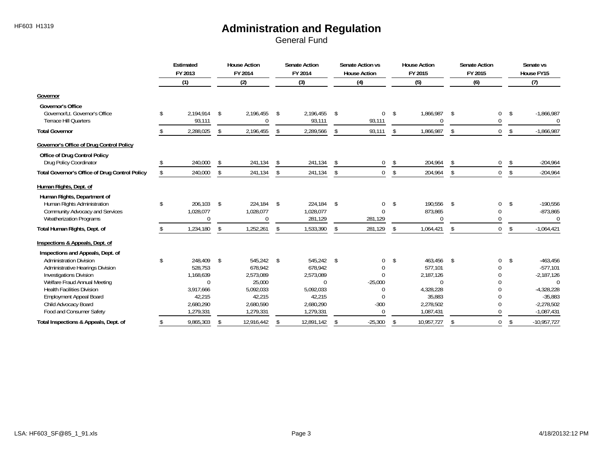|                                                         | Estimated<br>FY 2013      |                | <b>House Action</b><br>FY 2014 | <b>Senate Action</b><br>FY 2014 |               | Senate Action vs<br><b>House Action</b> | <b>House Action</b><br>FY 2015 | <b>Senate Action</b><br>FY 2015 |             |               | Senate vs<br>House FY15  |
|---------------------------------------------------------|---------------------------|----------------|--------------------------------|---------------------------------|---------------|-----------------------------------------|--------------------------------|---------------------------------|-------------|---------------|--------------------------|
|                                                         | (1)                       |                | (2)                            | (3)                             |               | (4)                                     | (5)                            |                                 | (6)         |               | (7)                      |
| Governor                                                |                           |                |                                |                                 |               |                                         |                                |                                 |             |               |                          |
| <b>Governor's Office</b>                                |                           |                |                                |                                 |               |                                         |                                |                                 |             |               |                          |
| Governor/Lt. Governor's Office<br>Terrace Hill Quarters | \$<br>2,194,914<br>93,111 | \$             | 2,196,455<br>$\Omega$          | \$<br>2,196,455                 | $\sqrt{5}$    | 0                                       | \$<br>1,866,987<br>$\Omega$    | \$                              | 0<br>0      | \$            | $-1,866,987$<br>$\Omega$ |
|                                                         |                           |                |                                | 93,111                          |               | 93,111                                  |                                |                                 |             |               |                          |
| <b>Total Governor</b>                                   | 2,288,025                 | $\mathfrak{L}$ | 2,196,455                      | \$<br>2,289,566                 | \$            | 93,111                                  | \$<br>1,866,987                | \$                              | $\mathbf 0$ | <sup>\$</sup> | $-1,866,987$             |
| Governor's Office of Drug Control Policy                |                           |                |                                |                                 |               |                                         |                                |                                 |             |               |                          |
| <b>Office of Drug Control Policy</b>                    |                           |                |                                |                                 |               |                                         |                                |                                 |             |               |                          |
| Drug Policy Coordinator                                 | 240,000                   | \$             | 241,134                        | \$<br>241,134                   | \$            | 0                                       | \$<br>204,964                  | \$                              | 0           | \$            | $-204,964$               |
| Total Governor's Office of Drug Control Policy          | \$<br>240,000             | \$             | 241,134                        | \$<br>241,134                   | \$            | 0                                       | \$<br>204,964                  | \$                              | $\mathbf 0$ | \$            | $-204,964$               |
| Human Rights, Dept. of                                  |                           |                |                                |                                 |               |                                         |                                |                                 |             |               |                          |
| Human Rights, Department of                             |                           |                |                                |                                 |               |                                         |                                |                                 |             |               |                          |
| Human Rights Administration                             | \$<br>206,103             | \$             | 224,184                        | \$<br>224,184                   | $\mathsf{s}$  | 0                                       | \$<br>190,556                  | \$                              | 0           | \$            | $-190,556$               |
| Community Advocacy and Services                         | 1,028,077                 |                | 1,028,077                      | 1,028,077                       |               |                                         | 873,865                        |                                 | 0           |               | $-873,865$               |
| <b>Weatherization Programs</b>                          | $\Omega$                  |                | $\Omega$                       | 281,129                         |               | 281,129                                 | $\Omega$                       |                                 | 0           |               | $\Omega$                 |
| Total Human Rights, Dept. of                            | 1,234,180                 | \$             | 1,252,261                      | \$<br>1,533,390                 | \$            | 281,129                                 | \$<br>1,064,421                | \$                              | 0           | \$            | $-1,064,421$             |
| Inspections & Appeals, Dept. of                         |                           |                |                                |                                 |               |                                         |                                |                                 |             |               |                          |
| Inspections and Appeals, Dept. of                       |                           |                |                                |                                 |               |                                         |                                |                                 |             |               |                          |
| <b>Administration Division</b>                          | \$<br>248.409             | \$             | 545,242                        | \$<br>545.242                   | $\mathsf{\$}$ | 0                                       | \$<br>463,456                  | \$                              | 0           | \$            | $-463,456$               |
| Administrative Hearings Division                        | 528.753                   |                | 678.942                        | 678,942                         |               |                                         | 577,101                        |                                 | 0           |               | $-577,101$               |
| <b>Investigations Division</b>                          | 1,168,639                 |                | 2,573,089                      | 2,573,089                       |               |                                         | 2,187,126                      |                                 | 0           |               | $-2,187,126$             |
| Welfare Fraud Annual Meeting                            | $\Omega$                  |                | 25,000                         | $\Omega$                        |               | $-25,000$                               | $\Omega$                       |                                 | 0           |               | $\Omega$                 |
| <b>Health Facilities Division</b>                       | 3,917,666                 |                | 5,092,033                      | 5,092,033                       |               | 0                                       | 4,328,228                      |                                 | 0           |               | $-4,328,228$             |
| <b>Employment Appeal Board</b>                          | 42,215                    |                | 42,215                         | 42,215                          |               | U                                       | 35,883                         |                                 | 0           |               | $-35,883$                |
| Child Advocacy Board                                    | 2,680,290                 |                | 2,680,590                      | 2,680,290                       |               | $-300$                                  | 2,278,502                      |                                 | 0           |               | $-2,278,502$             |
| Food and Consumer Safety                                | 1,279,331                 |                | 1,279,331                      | 1,279,331                       |               | $\Omega$                                | 1,087,431                      |                                 | 0           |               | $-1,087,431$             |
| Total Inspections & Appeals, Dept. of                   | 9,865,303                 | \$             | 12,916,442                     | \$<br>12,891,142                | -\$           | $-25,300$                               | \$<br>10,957,727               | $\mathfrak{S}$                  | 0           | \$            | $-10,957,727$            |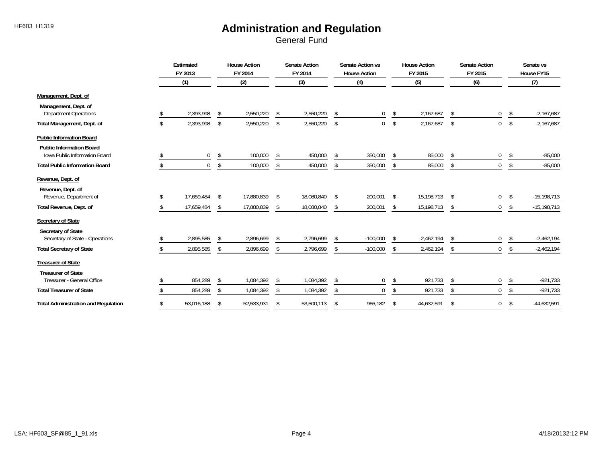|                                                                         | Estimated<br>FY 2013 |              |    | <b>House Action</b><br>FY 2014 |               | <b>Senate Action</b><br>FY 2014 |               | Senate Action vs<br><b>House Action</b> |     | <b>House Action</b><br>FY 2015 | <b>Senate Action</b><br>FY 2015 |               | Senate vs<br>House FY15 |
|-------------------------------------------------------------------------|----------------------|--------------|----|--------------------------------|---------------|---------------------------------|---------------|-----------------------------------------|-----|--------------------------------|---------------------------------|---------------|-------------------------|
|                                                                         |                      | (1)          |    | (2)                            |               | (3)                             |               | (4)                                     |     | (5)                            | (6)                             |               | (7)                     |
| Management, Dept. of                                                    |                      |              |    |                                |               |                                 |               |                                         |     |                                |                                 |               |                         |
| Management, Dept. of<br><b>Department Operations</b>                    |                      | 2,393,998    | \$ | 2,550,220                      | \$            | 2,550,220                       | \$            | 0                                       | -\$ | 2,167,687                      | \$<br>0                         | \$            | $-2,167,687$            |
| Total Management, Dept. of                                              |                      | 2,393,998    | \$ | 2,550,220                      | \$            | 2,550,220                       | \$            | $\mathbf 0$                             | \$  | 2,167,687                      | \$<br>$\mathbf 0$               | S.            | $-2,167,687$            |
| <b>Public Information Board</b>                                         |                      |              |    |                                |               |                                 |               |                                         |     |                                |                                 |               |                         |
| <b>Public Information Board</b><br><b>Iowa Public Information Board</b> |                      | 0            | \$ | 100,000                        | \$            | 450,000                         | \$            | 350,000                                 | \$  | 85,000                         | \$<br>0                         | \$            | $-85,000$               |
| <b>Total Public Information Board</b>                                   |                      | $\mathbf{0}$ | Ŝ. | 100,000                        | \$            | 450,000                         | S.            | 350,000                                 | \$  | 85,000                         | \$<br>0                         | \$            | $-85,000$               |
| Revenue, Dept. of                                                       |                      |              |    |                                |               |                                 |               |                                         |     |                                |                                 |               |                         |
| Revenue, Dept. of<br>Revenue, Department of                             |                      | 17,659,484   |    | 17,880,839                     | \$            | 18,080,840                      |               | 200,001                                 | \$  | 15,198,713                     | \$<br>0                         | \$            | $-15,198,713$           |
| Total Revenue, Dept. of                                                 |                      | 17,659,484   | -S | 17,880,839                     | -S            | 18,080,840                      | S.            | 200,001                                 | \$  | 15,198,713                     | \$<br>$\overline{0}$            | -S            | $-15,198,713$           |
| Secretary of State<br>Secretary of State                                |                      |              |    |                                |               |                                 |               |                                         |     |                                |                                 |               |                         |
| Secretary of State - Operations                                         |                      | 2,895,585    | \$ | 2,896,699                      | $\mathcal{S}$ | 2,796,699                       | <sup>\$</sup> | $-100,000$                              | \$  | 2,462,194                      | \$<br>0                         | \$            | $-2,462,194$            |
| <b>Total Secretary of State</b>                                         |                      | 2,895,585    | \$ | 2,896,699                      | \$            | 2,796,699                       | \$            | $-100,000$                              | \$  | 2,462,194                      | \$<br>0                         | <sup>\$</sup> | $-2,462,194$            |
| <b>Treasurer of State</b>                                               |                      |              |    |                                |               |                                 |               |                                         |     |                                |                                 |               |                         |
| <b>Treasurer of State</b><br>Treasurer - General Office                 |                      | 854,289      | \$ | 1,084,392                      | \$            | 1,084,392                       | \$            | 0                                       | \$  | 921,733                        | \$<br>0                         | S.            | $-921,733$              |
| <b>Total Treasurer of State</b>                                         |                      | 854,289      |    | 1,084,392                      | S.            | 1,084,392                       |               | $\mathbf 0$                             | \$  | 921,733                        | \$<br>$\mathbf{0}$              | \$            | $-921,733$              |
| <b>Total Administration and Regulation</b>                              |                      | 53,016,188   | S. | 52,533,931                     | \$            | 53,500,113                      | S.            | 966,182                                 | \$  | 44,632,591                     | \$<br>0                         | \$            | $-44,632,591$           |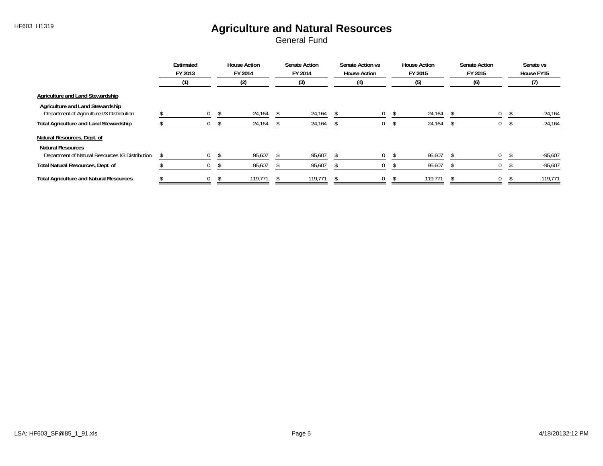# HF603 H1319 **Agriculture and Natural Resources**

|                                                                                | Estimated<br>FY 2013 |      | <b>House Action</b><br>FY 2014 | <b>Senate Action</b><br>FY 2014 | Senate Action vs<br><b>House Action</b> | <b>House Action</b><br>FY 2015 | <b>Senate Action</b><br>FY 2015 |     |  | Senate vs<br>House FY15 |
|--------------------------------------------------------------------------------|----------------------|------|--------------------------------|---------------------------------|-----------------------------------------|--------------------------------|---------------------------------|-----|--|-------------------------|
|                                                                                | (1)                  |      | (2)                            | (3)                             | $\left( 4\right)$                       | (5)                            |                                 | (6) |  |                         |
| Agriculture and Land Stewardship                                               |                      |      |                                |                                 |                                         |                                |                                 |     |  |                         |
| Agriculture and Land Stewardship<br>Department of Agriculture I/3 Distribution | $\overline{0}$       | - \$ | 24,164                         | 24,164                          | 0                                       | 24,164                         | <sup>S</sup>                    | 0   |  | $-24,164$               |
| <b>Total Agriculture and Land Stewardship</b>                                  | $\cup$               |      | 24,164                         | 24,164                          | 0                                       | 24,164                         |                                 |     |  | $-24,164$               |
| Natural Resources, Dept. of                                                    |                      |      |                                |                                 |                                         |                                |                                 |     |  |                         |
| <b>Natural Resources</b><br>Department of Natural Resources I/3 Distribution   | $\Omega$             |      | 95,607                         | 95,607                          | 0                                       | 95,607                         |                                 | 0   |  | $-95,607$               |
| Total Natural Resources, Dept. of                                              | U                    |      | 95,607                         | 95,607                          | U                                       | 95,607                         |                                 |     |  | $-95,607$               |
| <b>Total Agriculture and Natural Resources</b>                                 | $\mathbf{0}$         |      | 119,771                        | 119,771                         | 0                                       | 119,771                        |                                 | 0   |  | $-119,771$              |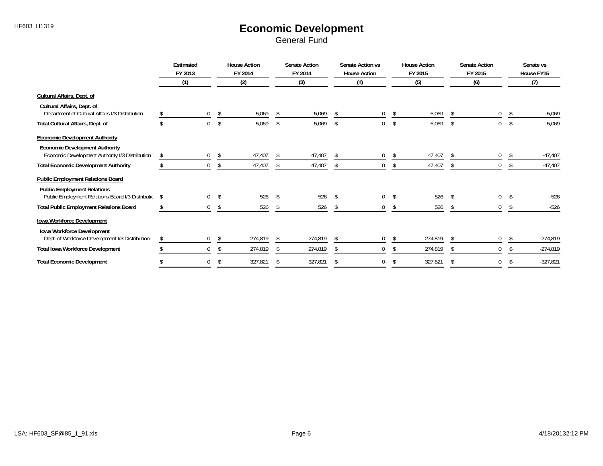# HF603 H1319 **Economic Development**

|                                                                                          |     | Estimated<br>FY 2013 |     | <b>House Action</b><br>FY 2014 |               | <b>Senate Action</b><br>FY 2014 |               | Senate Action vs<br><b>House Action</b> |    | <b>House Action</b><br>FY 2015 | <b>Senate Action</b><br>FY 2015<br>(6) |   |    | Senate vs<br>House FY15 |  |
|------------------------------------------------------------------------------------------|-----|----------------------|-----|--------------------------------|---------------|---------------------------------|---------------|-----------------------------------------|----|--------------------------------|----------------------------------------|---|----|-------------------------|--|
|                                                                                          |     | (1)                  |     | (2)                            |               | (3)                             |               | (4)                                     |    | (5)                            |                                        |   |    | (7)                     |  |
| <b>Cultural Affairs, Dept. of</b>                                                        |     |                      |     |                                |               |                                 |               |                                         |    |                                |                                        |   |    |                         |  |
| Cultural Affairs, Dept. of<br>Department of Cultural Affairs I/3 Distribution            |     | $\mathbf 0$          | \$  | 5,069                          | -S            | 5,069                           | \$            | 0                                       | \$ | 5,069                          | \$                                     | 0 | -S | $-5,069$                |  |
| Total Cultural Affairs, Dept. of                                                         |     | $\mathbf 0$          | -S  | 5,069                          | \$            | 5,069                           | \$            | 0                                       |    | 5,069<br>\$                    | -S                                     | 0 |    | $-5,069$                |  |
| <b>Economic Development Authority</b>                                                    |     |                      |     |                                |               |                                 |               |                                         |    |                                |                                        |   |    |                         |  |
| <b>Economic Development Authority</b><br>Economic Development Authority I/3 Distribution | \$  | $\mathbf 0$          | S   | 47,407                         |               | 47,407                          |               | 0                                       |    | 47,407<br>\$                   |                                        | 0 | -S | $-47,407$               |  |
| <b>Total Economic Development Authority</b>                                              |     | $\mathbf 0$          | -S  | 47,407                         | <sup>\$</sup> | 47,407                          |               | 0                                       |    | 47,407<br>\$                   | <sup>S</sup>                           | 0 | S  | $-47,407$               |  |
| <b>Public Employment Relations Board</b>                                                 |     |                      |     |                                |               |                                 |               |                                         |    |                                |                                        |   |    |                         |  |
| <b>Public Employment Relations</b><br>Public Employment Relations Board I/3 Distribution | -\$ | $\boldsymbol{0}$     | \$  | 526                            | - \$          | 526                             | -S            | 0                                       | \$ | 526                            | -S                                     | 0 |    | $-526$                  |  |
| <b>Total Public Employment Relations Board</b>                                           |     | 0                    | \$  | 526                            | \$            | 526                             | <sup>\$</sup> | 0                                       |    | 526<br>\$                      |                                        | 0 |    | $-526$                  |  |
| Iowa Workforce Development                                                               |     |                      |     |                                |               |                                 |               |                                         |    |                                |                                        |   |    |                         |  |
| Iowa Workforce Development<br>Dept. of Workforce Development I/3 Distribution            |     | 0                    | -S  | 274,819                        |               | 274,819                         |               |                                         |    | 274,819                        |                                        |   |    | $-274,819$              |  |
| <b>Total Iowa Workforce Development</b>                                                  |     | $\mathbf 0$          |     | 274,819                        |               | 274,819                         |               | 0                                       |    | 274,819                        |                                        | 0 |    | $-274,819$              |  |
| <b>Total Economic Development</b>                                                        |     | 0                    | -\$ | 327,821                        | \$            | 327,821                         | Ŝ.            |                                         | Ŝ. | 327,821                        | S                                      |   | S  | $-327,821$              |  |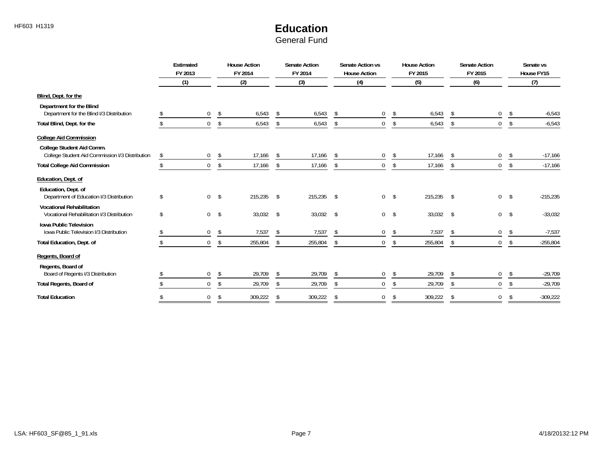# HF603 H1319 **Education**

|                                                                                | Estimated<br>FY 2013   |                | <b>House Action</b><br>FY 2014 | <b>Senate Action</b><br><b>Senate Action vs</b><br><b>House Action</b><br>FY 2014<br>FY 2015<br>FY 2015<br><b>House Action</b> |            | <b>Senate Action</b> |             | Senate vs<br>House FY15 |         |    |              |    |            |
|--------------------------------------------------------------------------------|------------------------|----------------|--------------------------------|--------------------------------------------------------------------------------------------------------------------------------|------------|----------------------|-------------|-------------------------|---------|----|--------------|----|------------|
|                                                                                | (1)                    |                | (2)                            |                                                                                                                                | (3)        |                      | (4)         |                         | (5)     |    | (6)          |    | (7)        |
| Blind, Dept. for the                                                           |                        |                |                                |                                                                                                                                |            |                      |             |                         |         |    |              |    |            |
| Department for the Blind<br>Department for the Blind I/3 Distribution          | $\mathbf 0$            | \$             | 6,543                          | -\$                                                                                                                            | 6,543      | \$                   | 0           | \$                      | 6,543   | \$ | 0            | \$ | $-6,543$   |
| Total Blind, Dept. for the                                                     | $\mathbf{0}$           | \$             | 6,543                          |                                                                                                                                | 6,543      |                      | 0           | \$                      | 6,543   | Ŝ. |              | \$ | $-6,543$   |
| <b>College Aid Commission</b>                                                  |                        |                |                                |                                                                                                                                |            |                      |             |                         |         |    |              |    |            |
| College Student Aid Comm.<br>College Student Aid Commission I/3 Distribution   | \$<br>$\boldsymbol{0}$ | \$             | 17,166                         | -S                                                                                                                             | 17,166     | -\$                  | 0           | \$                      | 17,166  | \$ | 0            | \$ | $-17,166$  |
| <b>Total College Aid Commission</b>                                            | $\mathbf 0$            | \$             | 17,166                         | \$                                                                                                                             | 17,166     | \$                   | $\mathbf 0$ | \$                      | 17,166  | \$ | $\mathbf{0}$ | \$ | $-17,166$  |
| Education, Dept. of                                                            |                        |                |                                |                                                                                                                                |            |                      |             |                         |         |    |              |    |            |
| Education, Dept. of<br>Department of Education I/3 Distribution                | \$                     | 0 <sup>5</sup> | 215,235                        | \$                                                                                                                             | 215,235 \$ |                      |             | $0 \quad$ \$            | 215,235 | \$ | 0            | \$ | $-215,235$ |
| <b>Vocational Rehabilitation</b><br>Vocational Rehabilitation I/3 Distribution | \$<br>$\overline{0}$   | $\sqrt[6]{}$   | 33,032                         | \$                                                                                                                             | 33,032 \$  |                      |             | 0 <sup>5</sup>          | 33,032  | \$ | 0            | \$ | $-33,032$  |
| <b>Iowa Public Television</b><br>Iowa Public Television I/3 Distribution       | $\mathbf 0$            | $\sqrt[6]{}$   | 7,537                          | -\$                                                                                                                            | 7,537      | \$                   | 0           | \$                      | 7,537   | \$ | $\mathbf 0$  | \$ | $-7,537$   |
| Total Education, Dept. of                                                      | $\mathbf{0}$           | \$             | 255,804                        | -S                                                                                                                             | 255,804    | S.                   | $\mathbf 0$ | \$                      | 255,804 | \$ | $\mathbf 0$  | \$ | $-255,804$ |
| Regents, Board of                                                              |                        |                |                                |                                                                                                                                |            |                      |             |                         |         |    |              |    |            |
| Regents, Board of<br>Board of Regents I/3 Distribution                         | $\mathbf 0$            | \$             | 29,709                         | \$                                                                                                                             | 29,709     | \$                   | 0           | \$                      | 29,709  | \$ | 0            | \$ | $-29,709$  |
| <b>Total Regents, Board of</b>                                                 | $\mathbf{0}$           | \$             | 29,709                         | \$                                                                                                                             | 29,709     | -\$                  | 0           | \$                      | 29,709  | \$ | $\Omega$     | -S | $-29,709$  |
| <b>Total Education</b>                                                         | $\Omega$               | -\$            | 309,222                        | \$                                                                                                                             | 309,222    | Ŝ.                   | 0           | \$                      | 309,222 | \$ | 0            | \$ | $-309,222$ |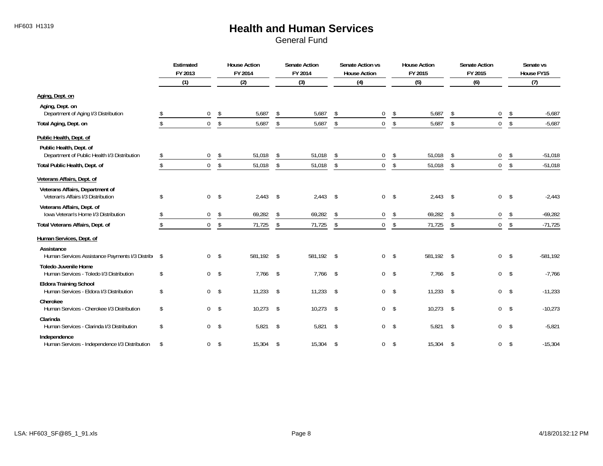#### HF603 H1319 **Health and Human Services**

|                                                                           |               | Estimated<br>FY 2013 |                         | <b>House Action</b><br>FY 2014 | <b>Senate Action</b><br>FY 2014 |               | Senate Action vs<br><b>House Action</b> | <b>House Action</b><br>FY 2015 |            | <b>Senate Action</b><br>FY 2015 |                |               | Senate vs<br>House FY15 |  |
|---------------------------------------------------------------------------|---------------|----------------------|-------------------------|--------------------------------|---------------------------------|---------------|-----------------------------------------|--------------------------------|------------|---------------------------------|----------------|---------------|-------------------------|--|
|                                                                           |               | (1)                  |                         | (2)                            | (3)                             |               | (4)                                     |                                | (5)        |                                 | (6)            |               | (7)                     |  |
| Aging, Dept. on                                                           |               |                      |                         |                                |                                 |               |                                         |                                |            |                                 |                |               |                         |  |
| Aging, Dept. on<br>Department of Aging I/3 Distribution                   | \$            | $\overline{0}$       | \$                      | 5,687                          | \$<br>5,687                     | <sup>\$</sup> | $\mathbf 0$                             | \$                             | 5,687      | \$                              | $\mathbf 0$    | \$            | $-5,687$                |  |
| Total Aging, Dept. on                                                     | \$            | $\overline{0}$       | \$                      | 5,687                          | \$<br>5,687                     | \$            | 0                                       | \$                             | 5,687      | \$                              | $\overline{0}$ | \$            | $-5,687$                |  |
| Public Health, Dept. of                                                   |               |                      |                         |                                |                                 |               |                                         |                                |            |                                 |                |               |                         |  |
| Public Health, Dept. of<br>Department of Public Health I/3 Distribution   | \$            | $\mathbf 0$          | \$                      | 51,018                         | \$<br>51,018                    | \$            | 0                                       | \$                             | 51,018     | \$                              | 0              | \$            | $-51,018$               |  |
| Total Public Health, Dept. of                                             | \$            | $\mathbf 0$          | \$                      | 51,018                         | \$<br>51,018                    | \$            | 0                                       | \$                             | 51,018     | \$                              | $\mathbf{0}$   | \$            | $-51,018$               |  |
| Veterans Affairs, Dept. of                                                |               |                      |                         |                                |                                 |               |                                         |                                |            |                                 |                |               |                         |  |
| Veterans Affairs, Department of<br>Veteran's Affairs I/3 Distribution     | \$            |                      | $0 \quad$ \$            | $2,443$ \$                     | $2,443$ \$                      |               |                                         | $0 \quad$ \$                   | $2,443$ \$ |                                 | $\mathbf 0$    | $\sqrt{3}$    | $-2,443$                |  |
| Veterans Affairs, Dept. of<br>Iowa Veteran's Home I/3 Distribution        | \$            | $\overline{0}$       | $\sqrt[6]{\frac{1}{2}}$ | 69,282                         | \$<br>69,282                    | \$            | $\overline{0}$                          | \$                             | 69,282     | \$                              | 0              | \$            | $-69,282$               |  |
| Total Veterans Affairs, Dept. of                                          | $\mathcal{S}$ | $\mathbf{0}$         | \$                      | 71,725                         | \$<br>71,725                    | \$            | $\overline{0}$                          | \$                             | 71,725     | \$                              | $\overline{0}$ | \$            | $-71,725$               |  |
| Human Services, Dept. of                                                  |               |                      |                         |                                |                                 |               |                                         |                                |            |                                 |                |               |                         |  |
| Assistance<br>Human Services Assistance Payments I/3 Distribu \$          |               |                      | 0 <sup>5</sup>          | 581,192 \$                     | 581,192 \$                      |               | $\overline{0}$                          | $\mathsf{\$}$                  | 581.192 \$ |                                 | $\overline{0}$ | $\mathsf{\$}$ | $-581,192$              |  |
| <b>Toledo Juvenile Home</b><br>Human Services - Toledo I/3 Distribution   | \$            |                      | $0 \quad$ \$            | $7,766$ \$                     | $7,766$ \$                      |               |                                         | $0 \quad$ \$                   | 7,766 \$   |                                 | 0 <sup>5</sup> |               | $-7,766$                |  |
| <b>Eldora Training School</b><br>Human Services - Eldora I/3 Distribution | \$            |                      | $0 \quad$ \$            | $11,233$ \$                    | $11,233$ \$                     |               |                                         | 0 <sup>5</sup>                 | 11,233     | $\sqrt{2}$                      | 0 <sup>5</sup> |               | $-11,233$               |  |
| Cherokee<br>Human Services - Cherokee I/3 Distribution                    | \$            | $\Omega$             | $\sqrt[6]{}$            | $10,273$ \$                    | $10,273$ \$                     |               | $\overline{0}$                          | $\mathsf{\$}$                  | 10,273     | $\sqrt{2}$                      | 0              | $\mathsf{\$}$ | $-10,273$               |  |
| Clarinda<br>Human Services - Clarinda I/3 Distribution                    | \$            |                      | $0 \quad$ \$            | $5,821$ \$                     | $5,821$ \$                      |               |                                         | 0 <sup>5</sup>                 | $5,821$ \$ |                                 | 0 <sup>5</sup> |               | $-5,821$                |  |
| Independence<br>Human Services - Independence I/3 Distribution            | \$            | $\overline{0}$       | $\sqrt[6]{}$            | 15,304                         | \$<br>15,304 \$                 |               | $\overline{0}$                          | $\sqrt{2}$                     | 15,304     | \$                              | $\overline{0}$ | \$            | $-15,304$               |  |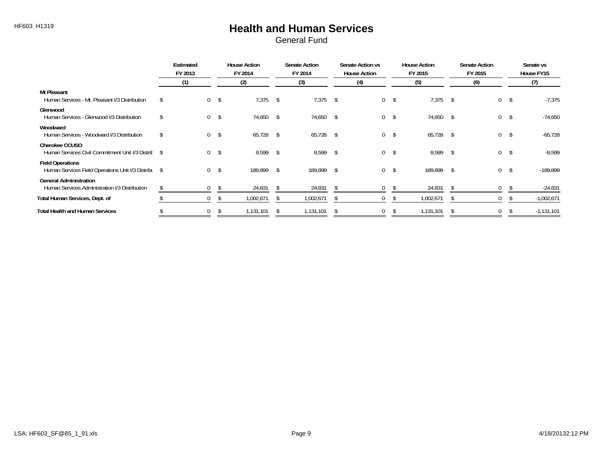#### HF603 H1319 **Health and Human Services**

|                                                                                 | Estimated<br>FY 2013 |                |     | <b>House Action</b><br>FY 2014 |               | <b>Senate Action</b><br>FY 2014 |              | Senate Action vs<br><b>House Action</b> |              | <b>House Action</b><br>FY 2015 |              | <b>Senate Action</b><br>FY 2015 | Senate vs<br>House FY15 |
|---------------------------------------------------------------------------------|----------------------|----------------|-----|--------------------------------|---------------|---------------------------------|--------------|-----------------------------------------|--------------|--------------------------------|--------------|---------------------------------|-------------------------|
|                                                                                 | (1)                  |                |     | (2)                            |               | (3)                             |              | (4)                                     |              | (5)                            |              | (6)                             | (7)                     |
| Mt Pleasant<br>Human Services - Mt. Pleasant I/3 Distribution                   |                      | 0 <sup>5</sup> |     | 7,375                          | -\$           | $7,375$ \$                      |              |                                         | $0 \quad$ \$ | 7,375                          | $^{\circ}$   | $\mathbf{0}$                    | $-7,375$<br>\$          |
| Glenwood<br>Human Services - Glenwood I/3 Distribution                          |                      | 0 <sup>5</sup> |     | 74,650 \$                      |               | 74,650 \$                       |              |                                         | $0 \quad$ \$ | 74,650                         | -S           | $\overline{0}$                  | $-74,650$<br>-\$        |
| Woodward<br>Human Services - Woodward I/3 Distribution                          | \$                   | 0 <sup>5</sup> |     | 65,728 \$                      |               | 65,728 \$                       |              |                                         | $0 \quad$ \$ | 65,728                         | -S           | $\overline{0}$                  | $-65,728$<br>\$         |
| <b>Cherokee CCUSO</b><br>Human Services Civil Commitment Unit I/3 Distric \$    |                      | 0 <sup>5</sup> |     | 8,599                          | \$            | 8,599                           | $\mathsf{s}$ |                                         | $0 \quad$ \$ | 8,599                          | $\mathsf{s}$ | $\Omega$                        | $-8,599$<br>\$          |
| <b>Field Operations</b><br>Human Services Field Operations Unit I/3 Distribu \$ |                      | $\overline{0}$ | -\$ | 189,899                        | $\mathcal{L}$ | 189,899                         | \$           |                                         | $0 \quad$ \$ | 189,899                        | \$           | $\overline{0}$                  | $-189.899$<br>\$        |
| <b>General Administration</b><br>Human Services Administration I/3 Distribution |                      | $\mathbf{0}$   | -S  | 24,831                         | <sup>3</sup>  | 24,831                          | \$           | $\overline{0}$                          | \$           | 24,831                         | -S           | $\mathbf{0}$                    | $-24,831$               |
| Total Human Services, Dept. of                                                  |                      | $\mathbf 0$    |     | 1,002,671                      | <sup>2</sup>  | 1,002,671                       | - \$         | 0                                       |              | 1,002,671                      | S.           | $\mathbf{0}$                    | $-1,002,671$            |
| <b>Total Health and Human Services</b>                                          |                      | 0              |     | 1,131,101                      |               | 1,131,101                       |              | 0                                       |              | 1,131,101                      | -S           | $\mathbf{0}$                    | $-1,131,101$            |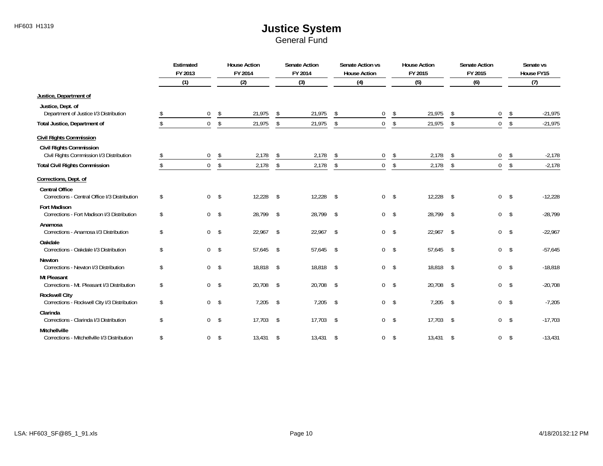|                                                                            | Estimated<br>FY 2013 |                         | <b>House Action</b><br>FY 2014 |              | <b>Senate Action</b><br>FY 2014 |               | Senate Action vs<br><b>House Action</b> |                         | <b>House Action</b><br>FY 2015 |                         | <b>Senate Action</b><br>FY 2015 |               | Senate vs<br>House FY15 |
|----------------------------------------------------------------------------|----------------------|-------------------------|--------------------------------|--------------|---------------------------------|---------------|-----------------------------------------|-------------------------|--------------------------------|-------------------------|---------------------------------|---------------|-------------------------|
|                                                                            | (1)                  |                         | (2)                            |              | (3)                             |               | (4)                                     |                         | (5)                            |                         | (6)                             |               | (7)                     |
| Justice, Department of                                                     |                      |                         |                                |              |                                 |               |                                         |                         |                                |                         |                                 |               |                         |
| Justice, Dept. of<br>Department of Justice I/3 Distribution                | $\mathbf 0$          | \$                      | 21,975                         | \$           | 21,975                          | \$            | $\mathbf 0$                             | \$                      | 21,975                         | \$                      | 0                               | \$            | $-21,975$               |
| <b>Total Justice, Department of</b>                                        | $\mathbf{0}$         | $\sqrt[6]{\frac{1}{2}}$ | 21,975                         | \$           | 21,975                          | \$            | $\mathbf 0$                             | \$                      | 21,975                         | \$                      | $\mathbf 0$                     | \$            | $-21,975$               |
| <b>Civil Rights Commission</b>                                             |                      |                         |                                |              |                                 |               |                                         |                         |                                |                         |                                 |               |                         |
| <b>Civil Rights Commission</b><br>Civil Rights Commission I/3 Distribution | \$<br>$\mathbf 0$    | \$                      | 2,178                          | \$           | 2,178                           | \$            | $\mathbf 0$                             | \$                      | 2,178                          | \$                      | $\mathbf 0$                     | \$            | $-2,178$                |
| <b>Total Civil Rights Commission</b>                                       | $\mathbf 0$          | \$                      | 2,178                          | \$           | 2,178                           | \$            | $\mathbf 0$                             | $\sqrt[6]{\frac{1}{2}}$ | 2,178                          | \$                      | $\mathbf 0$                     | \$            | $-2,178$                |
| Corrections, Dept. of                                                      |                      |                         |                                |              |                                 |               |                                         |                         |                                |                         |                                 |               |                         |
| <b>Central Office</b><br>Corrections - Central Office I/3 Distribution     | \$                   | 0 <sup>5</sup>          | 12,228                         | $\sqrt[6]{}$ | 12,228                          | $\mathsf{\$}$ |                                         | $0 \quad$ \$            | 12,228                         | $\sqrt{2}$              | $\overline{0}$                  | \$            | $-12,228$               |
| <b>Fort Madison</b><br>Corrections - Fort Madison I/3 Distribution         | \$                   | 0 <sup>5</sup>          | 28,799                         | \$           | 28,799 \$                       |               |                                         | $0 \quad$ \$            | 28,799                         | $\sqrt{2}$              | $\overline{0}$                  | $\mathsf{\$}$ | $-28,799$               |
| Anamosa<br>Corrections - Anamosa I/3 Distribution                          | \$<br>$\mathbf 0$    | $\sqrt{ }$              | 22,967 \$                      |              | $22,967$ \$                     |               |                                         | $0 \quad$ \$            | 22,967                         | \$                      | $\mathbf 0$                     | \$            | $-22,967$               |
| Oakdale<br>Corrections - Oakdale I/3 Distribution                          | \$                   | 0 <sup>5</sup>          | 57,645 \$                      |              | 57,645 \$                       |               |                                         | $0 \quad$ \$            | 57,645                         | -\$                     | $\overline{0}$                  | $\sqrt[6]{}$  | $-57,645$               |
| Newton<br>Corrections - Newton I/3 Distribution                            | \$                   | 0 <sup>5</sup>          | 18,818 \$                      |              | 18,818 \$                       |               |                                         | 0 <sup>5</sup>          | 18,818                         | \$                      | 0 <sup>5</sup>                  |               | $-18,818$               |
| <b>Mt Pleasant</b><br>Corrections - Mt. Pleasant I/3 Distribution          | \$                   | $0 \quad$ \$            | 20,708 \$                      |              | 20,708 \$                       |               | $\mathbf 0$                             | $\sqrt{3}$              | 20,708                         | $\sqrt[6]{\frac{1}{2}}$ | $\overline{0}$                  | $\sqrt{5}$    | $-20,708$               |
| <b>Rockwell City</b><br>Corrections - Rockwell City I/3 Distribution       | \$<br>$\overline{0}$ | $\sqrt{2}$              | 7,205                          | \$           | 7,205                           | $\mathsf{\$}$ | $\mathbf 0$                             | $\sqrt{5}$              | 7,205                          | -\$                     | $\mathbf{0}$                    | \$            | $-7,205$                |
| Clarinda<br>Corrections - Clarinda I/3 Distribution                        | \$                   | $0 \quad$ \$            | $17,703$ \$                    |              | $17,703$ \$                     |               |                                         | 0 <sup>5</sup>          | 17,703                         | -\$                     | $\overline{0}$                  | $\sqrt{5}$    | $-17,703$               |
| <b>Mitchellville</b><br>Corrections - Mitchellville I/3 Distribution       | \$<br>$\mathbf 0$    | $\sqrt{3}$              | 13,431                         | \$           | 13,431                          | $\mathsf{\$}$ | $\mathbf 0$                             | $\mathsf{\$}$           | 13,431                         | -\$                     | $\overline{0}$                  | \$            | $-13,431$               |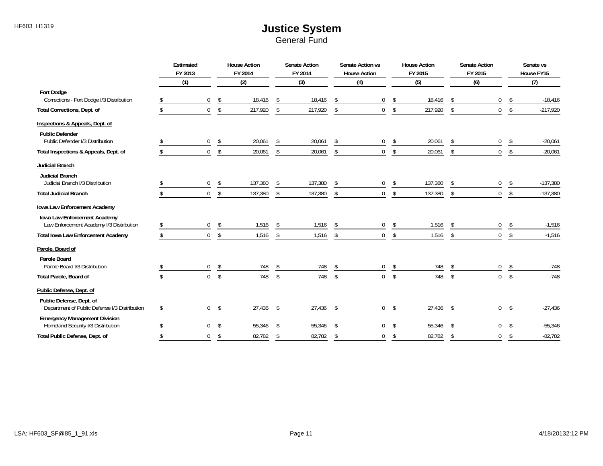|                                                                            |     | Estimated<br>FY 2013       |            | <b>House Action</b><br>FY 2014 |          | <b>Senate Action</b><br>FY 2014 |            | Senate Action vs<br><b>House Action</b> |              | <b>House Action</b><br>FY 2015 |                      | <b>Senate Action</b><br>FY 2015 |               | Senate vs<br>House FY15 |
|----------------------------------------------------------------------------|-----|----------------------------|------------|--------------------------------|----------|---------------------------------|------------|-----------------------------------------|--------------|--------------------------------|----------------------|---------------------------------|---------------|-------------------------|
|                                                                            |     | (1)                        |            | (2)                            |          | (3)                             |            | (4)                                     |              | (5)                            |                      | (6)                             |               | (7)                     |
| <b>Fort Dodge</b><br>Corrections - Fort Dodge I/3 Distribution             | S.  | $\mathbf 0$                | \$         | 18,416                         | \$       | 18,416                          | \$         | 0                                       | \$           | 18,416                         | \$                   | 0                               | \$            | $-18,416$               |
| <b>Total Corrections, Dept. of</b>                                         | \$  | $\overline{0}$             | \$         | 217,920                        | \$       | 217,920                         | \$         | $\mathbf 0$                             | $\sqrt[6]{}$ | 217,920                        | \$                   | $\mathbf{0}$                    | \$            | $-217,920$              |
| Inspections & Appeals, Dept. of                                            |     |                            |            |                                |          |                                 |            |                                         |              |                                |                      |                                 |               |                         |
| <b>Public Defender</b><br>Public Defender I/3 Distribution                 |     | $\mathbf 0$                | \$         | 20,061                         | \$       | 20,061                          | \$         | 0                                       | \$           | 20,061                         | \$                   | 0                               | \$            | $-20,061$               |
| Total Inspections & Appeals, Dept. of                                      | \$  | $\mathbf 0$                | \$         | 20,061                         | \$       | 20,061                          | \$         | $\mathbf 0$                             | \$           | 20,061                         | \$                   | $\overline{0}$                  | \$            | $-20,061$               |
| <b>Judicial Branch</b>                                                     |     |                            |            |                                |          |                                 |            |                                         |              |                                |                      |                                 |               |                         |
| <b>Judicial Branch</b><br>Judicial Branch I/3 Distribution                 | \$. | $\overline{0}$             | \$         | 137,380                        | \$       | 137,380                         | \$         | 0                                       | \$           | 137,380                        | \$                   | 0                               | \$            | $-137,380$              |
| <b>Total Judicial Branch</b>                                               | \$  | $\overline{0}$             | \$         | 137,380                        | \$       | 137,380                         | \$         | $\mathbf 0$                             | \$           | 137,380                        | \$                   | $\overline{0}$                  | \$            | $-137,380$              |
| Iowa Law Enforcement Academy                                               |     |                            |            |                                |          |                                 |            |                                         |              |                                |                      |                                 |               |                         |
| Iowa Law Enforcement Academy<br>Law Enforcement Academy I/3 Distribution   |     | $\overline{0}$             | \$         | 1,516                          | -\$      | 1,516                           | -\$        | 0                                       | \$           | 1,516                          | \$                   | 0                               | \$            | $-1,516$                |
| <b>Total Iowa Law Enforcement Academy</b>                                  | \$  | $\overline{0}$             | \$         | 1,516                          | \$       | 1,516                           | \$         | $\mathbf 0$                             | \$           | 1,516                          | \$                   | $\overline{0}$                  | \$            | $-1,516$                |
| Parole, Board of                                                           |     |                            |            |                                |          |                                 |            |                                         |              |                                |                      |                                 |               |                         |
| Parole Board                                                               |     |                            |            |                                |          |                                 |            |                                         |              |                                |                      |                                 |               |                         |
| Parole Board I/3 Distribution<br>Total Parole, Board of                    | \$  | $\mathbf 0$<br>$\mathbf 0$ | \$<br>\$   | 748<br>748                     | \$<br>\$ | 748<br>748                      | \$<br>\$   | 0<br>$\mathbf 0$                        | \$<br>\$     | 748<br>748                     | \$<br>$\mathfrak{L}$ | 0<br>0                          | \$<br>\$      | $-748$<br>$-748$        |
| Public Defense, Dept. of                                                   |     |                            |            |                                |          |                                 |            |                                         |              |                                |                      |                                 |               |                         |
|                                                                            |     |                            |            |                                |          |                                 |            |                                         |              |                                |                      |                                 |               |                         |
| Public Defense, Dept. of<br>Department of Public Defense I/3 Distribution  | \$  | $\overline{0}$             | $\sqrt{2}$ | $27,436$ \$                    |          | 27,436                          | $\sqrt{2}$ | 0                                       | $\sqrt{ }$   | 27,436                         | \$                   | 0                               | $\mathsf{\$}$ | $-27,436$               |
| <b>Emergency Management Division</b><br>Homeland Security I/3 Distribution | \$  | $\mathbf 0$                | \$         | 55,346                         | \$       | 55,346                          | \$         | 0                                       | \$           | 55,346                         | $\mathfrak{S}$       | 0                               | \$            | $-55,346$               |
| Total Public Defense, Dept. of                                             |     | $\overline{0}$             | \$         | 82,782                         | \$       | 82,782                          | \$         | 0                                       | \$           | 82,782                         | $\mathfrak{S}$       | $\mathbf 0$                     | \$            | $-82,782$               |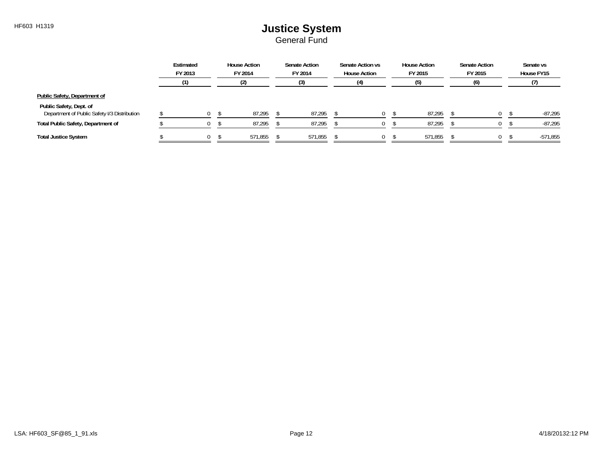|                                                                         | Estimated<br>FY 2013 | <b>House Action</b><br>FY 2014 | <b>Senate Action</b><br>FY 2014 | Senate Action vs<br><b>House Action</b> | <b>House Action</b><br>FY 2015 | <b>Senate Action</b><br>FY 2015 | Senate vs<br>House FY15 |
|-------------------------------------------------------------------------|----------------------|--------------------------------|---------------------------------|-----------------------------------------|--------------------------------|---------------------------------|-------------------------|
|                                                                         |                      |                                |                                 |                                         |                                |                                 |                         |
| Public Safety, Department of                                            |                      |                                |                                 |                                         |                                |                                 |                         |
| Public Safety, Dept. of<br>Department of Public Safety I/3 Distribution | $\Omega$             | 87,295                         | 87,295                          | 0                                       | 87,295                         | 0.                              | $-87,295$               |
| <b>Total Public Safety, Department of</b>                               |                      | 87,295                         | 87,295                          |                                         | 87,295                         |                                 | $-87,295$               |
| <b>Total Justice System</b>                                             | $\Omega$             | 571,855                        | 571,855                         |                                         | 571,855                        | 0                               | $-571,855$              |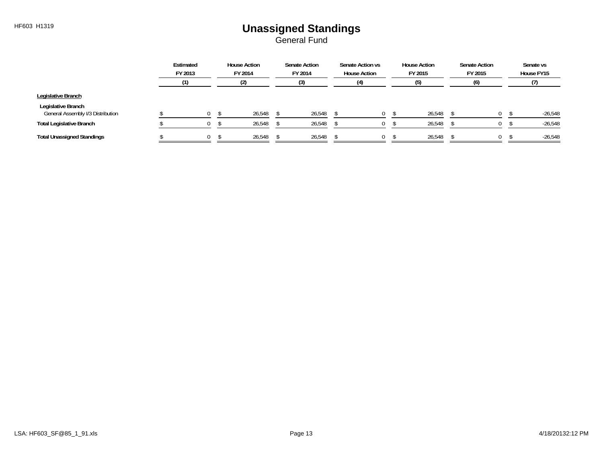# HF603 H1319 **Unassigned Standings**

|                                                         | Estimated<br>FY 2013 | <b>House Action</b><br>FY 2014 | <b>Senate Action</b><br>FY 2014 | Senate Action vs<br><b>House Action</b> | <b>House Action</b><br>FY 2015 | <b>Senate Action</b><br>FY 2015 | Senate vs<br>House FY15 |
|---------------------------------------------------------|----------------------|--------------------------------|---------------------------------|-----------------------------------------|--------------------------------|---------------------------------|-------------------------|
|                                                         |                      | (2)                            |                                 |                                         |                                | (6                              |                         |
| Legislative Branch                                      |                      |                                |                                 |                                         |                                |                                 |                         |
| Legislative Branch<br>General Assembly I/3 Distribution | $\Omega$             | 26,548                         | 26,548                          | 0                                       | 26,548                         |                                 | $-26,548$               |
| <b>Total Legislative Branch</b>                         |                      | 26,548                         | 26,548                          |                                         | 26,548                         |                                 | $-26,548$               |
| <b>Total Unassigned Standings</b>                       | $\Omega$             | 26,548                         | 26,548                          |                                         | 26,548                         |                                 | $-26,548$               |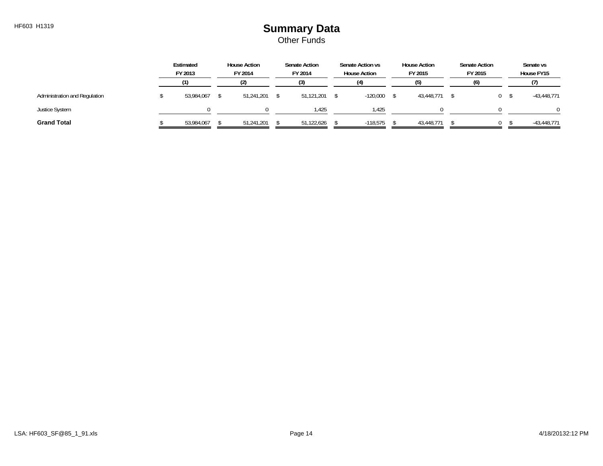#### HF603 H1319 **Summary Data** Other Funds

|                               | Estimated<br>FY 2013 | <b>House Action</b><br>FY 2014 | <b>Senate Action</b><br>FY 2014 | Senate Action vs<br><b>House Action</b> | <b>House Action</b><br>FY 2015 | Senate Action<br>FY 2015 | Senate vs<br>House FY15 |
|-------------------------------|----------------------|--------------------------------|---------------------------------|-----------------------------------------|--------------------------------|--------------------------|-------------------------|
|                               |                      |                                | (3)                             | (4)                                     | (5)                            | (6)                      |                         |
| Administration and Regulation | 53,984,067           | 51,241,201                     | 51,121,201                      | $-120,000$                              | 43,448,771                     | 0                        | $-43,448,771$           |
| <b>Justice System</b>         |                      |                                | 1.425                           | 1.425                                   |                                |                          |                         |
| <b>Grand Total</b>            | 53,984,067           | 51,241,201                     | 51,122,626                      | $-118.575$                              | 43,448,771                     |                          | $-43,448,771$           |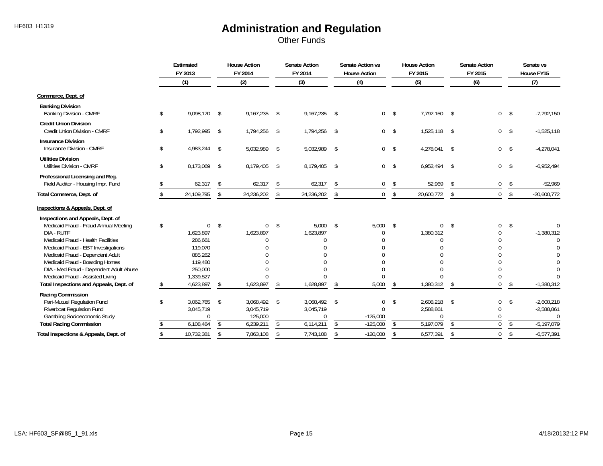Other Funds

|                                                                           | Estimated<br>FY 2013 |                | <b>House Action</b><br>FY 2014 |               | <b>Senate Action</b><br>FY 2014 |               | Senate Action vs<br><b>House Action</b> |                          | <b>House Action</b><br>FY 2015 |               | <b>Senate Action</b><br>FY 2015 |                          | Senate vs<br>House FY15 |
|---------------------------------------------------------------------------|----------------------|----------------|--------------------------------|---------------|---------------------------------|---------------|-----------------------------------------|--------------------------|--------------------------------|---------------|---------------------------------|--------------------------|-------------------------|
|                                                                           | (1)                  |                | (2)                            |               | (3)                             |               | (4)                                     |                          | (5)                            |               | (6)                             |                          | (7)                     |
| Commerce, Dept. of                                                        |                      |                |                                |               |                                 |               |                                         |                          |                                |               |                                 |                          |                         |
| <b>Banking Division</b><br><b>Banking Division - CMRF</b>                 | \$<br>9,098,170      | \$             | 9,167,235                      | \$            | 9,167,235                       | $\mathsf{S}$  | $\mathbf 0$                             | $\sqrt{3}$               | 7,792,150                      | \$            | $\overline{0}$                  | \$                       | $-7,792,150$            |
| <b>Credit Union Division</b><br>Credit Union Division - CMRF              | \$<br>1,792,995      | \$             | 1,794,256                      | $\sqrt{2}$    | 1,794,256 \$                    |               | $\mathbf 0$                             | $\sqrt{ }$               | 1,525,118                      | \$            | 0 <sup>5</sup>                  |                          | $-1,525,118$            |
| <b>Insurance Division</b><br>Insurance Division - CMRF                    | \$<br>4,983,244      | \$             | 5,032,989                      | \$            | 5,032,989                       | $\mathsf{\$}$ | $\mathbf 0$                             | \$                       | 4,278,041                      | \$            | $\mathbf 0$                     | $\sqrt{5}$               | $-4,278,041$            |
| <b>Utilities Division</b><br><b>Utilities Division - CMRF</b>             | \$<br>8,173,069      | \$             | 8,179,405                      | \$            | 8,179,405                       | $\mathsf{\$}$ | $\mathbf 0$                             | \$                       | 6,952,494                      | \$            | 0                               | \$                       | $-6,952,494$            |
| Professional Licensing and Reg.<br>Field Auditor - Housing Impr. Fund     | 62,317               | \$             | 62,317                         | \$            | 62,317                          | \$            | $\mathbf{0}$                            | \$                       | 52,969                         | \$            | $\mathbf 0$                     | \$                       | $-52,969$               |
| Total Commerce, Dept. of                                                  | 24,109,795           | \$             | 24,236,202                     | \$            | 24,236,202                      | \$            | $\overline{0}$                          | $\sqrt[6]{}$             | 20,600,772                     | \$            | $\mathbf 0$                     | \$                       | $-20,600,772$           |
| Inspections & Appeals, Dept. of                                           |                      |                |                                |               |                                 |               |                                         |                          |                                |               |                                 |                          |                         |
| Inspections and Appeals, Dept. of                                         |                      |                |                                |               |                                 |               |                                         |                          |                                |               |                                 |                          |                         |
| Medicaid Fraud - Fraud Annual Meeting                                     | \$<br>$\mathbf{0}$   | \$             | $\mathbf{0}$                   | \$            | 5,000                           | $\mathsf{\$}$ | 5.000                                   | -\$                      | $\mathbf{0}$                   | \$            | 0                               | \$                       | <sup>0</sup>            |
| DIA - RUTF                                                                | 1,623,897            |                | 1,623,897                      |               | 1,623,897                       |               |                                         |                          | 1,380,312                      |               |                                 |                          | $-1,380,312$            |
| Medicaid Fraud - Health Facilities<br>Medicaid Fraud - EBT Investigations | 286,661<br>119,070   |                |                                |               | $\Omega$                        |               |                                         |                          | $\Omega$                       |               | U                               |                          | $\Omega$                |
| Medicaid Fraud - Dependent Adult                                          | 885,262              |                |                                |               |                                 |               |                                         |                          |                                |               | 0                               |                          |                         |
| Medicaid Fraud - Boarding Homes                                           | 119.480              |                |                                |               |                                 |               |                                         |                          |                                |               | $\Omega$                        |                          |                         |
| DIA - Med Fraud - Dependent Adult Abuse                                   | 250,000              |                |                                |               | $\cap$                          |               |                                         |                          |                                |               | $\Omega$                        |                          |                         |
| Medicaid Fraud - Assisted Living                                          | 1,339,527            |                |                                |               | $\Omega$                        |               |                                         |                          |                                |               | $\Omega$                        |                          |                         |
| Total Inspections and Appeals, Dept. of                                   | 4,623,897            | \$             | 1,623,897                      | $\sqrt{2}$    | 1,628,897                       | $\sqrt{2}$    | 5,000                                   | $\overline{\mathcal{S}}$ | 1,380,312                      | $\sqrt{2}$    | $\overline{0}$                  | $\overline{\mathcal{S}}$ | $-1,380,312$            |
| Racing Commission                                                         |                      |                |                                |               |                                 |               |                                         |                          |                                |               |                                 |                          |                         |
| Pari-Mutuel Regulation Fund                                               | \$<br>3,062,765      | \$             | 3,068,492 \$                   |               | 3,068,492 \$                    |               | 0                                       | \$                       | 2,608,218                      | \$            | 0                               | \$                       | $-2,608,218$            |
| <b>Riverboat Regulation Fund</b>                                          | 3,045,719            |                | 3,045,719                      |               | 3,045,719                       |               | $\Omega$                                |                          | 2,588,861                      |               | $\Omega$                        |                          | $-2,588,861$            |
| Gambling Socioeconomic Study                                              | $\Omega$             |                | 125,000                        |               | $\Omega$                        |               | $-125,000$                              |                          | $\Omega$                       |               | $\Omega$                        |                          | $\Omega$                |
| <b>Total Racing Commission</b>                                            | 6,108,484            | s.             | 6,239,211                      | $\mathcal{S}$ | 6,114,211                       | s.            | $-125,000$                              | $\mathbb{S}$             | 5,197,079                      | $\mathbb{S}$  | $\Omega$                        | $\mathbb{S}$             | $-5,197,079$            |
| Total Inspections & Appeals, Dept. of                                     | \$<br>10,732,381     | $\mathfrak{S}$ | 7,863,108                      | \$            | 7,743,108                       | \$            | $-120,000$                              | $\mathsf{\$}$            | 6,577,391                      | $\mathcal{L}$ | $\mathbf 0$                     | $\mathsf{\$}$            | $-6,577,391$            |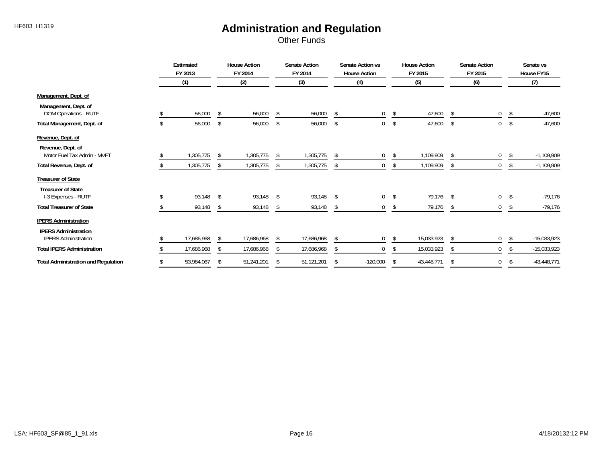Other Funds

|                                                            | Estimated<br>FY 2013 |     | <b>House Action</b><br>FY 2014 |    | <b>Senate Action</b><br>FY 2014 |      | Senate Action vs<br><b>House Action</b> |    | <b>House Action</b><br>FY 2015 |              | Senate Action<br>FY 2015 |              | Senate vs<br>House FY15 |
|------------------------------------------------------------|----------------------|-----|--------------------------------|----|---------------------------------|------|-----------------------------------------|----|--------------------------------|--------------|--------------------------|--------------|-------------------------|
|                                                            | (1)                  |     | (2)                            |    | (3)                             |      | (4)                                     |    | (5)                            |              | (6)                      |              | (7)                     |
| Management, Dept. of                                       |                      |     |                                |    |                                 |      |                                         |    |                                |              |                          |              |                         |
| Management, Dept. of<br>DOM Operations - RUTF              | 56,000               | -S  | 56,000                         | \$ | 56,000                          | \$   | $\mathbf{0}$                            | \$ | 47,600                         | \$           | 0                        | \$           | $-47,600$               |
| Total Management, Dept. of                                 | 56,000               | -\$ | 56,000                         | \$ | 56,000                          | \$   | 0                                       | \$ | 47,600                         | \$           | $\mathbf{0}$             | \$           | $-47,600$               |
| Revenue, Dept. of                                          |                      |     |                                |    |                                 |      |                                         |    |                                |              |                          |              |                         |
| Revenue, Dept. of<br>Motor Fuel Tax Admin - MVFT           | 1,305,775            | -S  | 1,305,775                      | -S | 1,305,775                       |      | 0                                       | \$ | 1,109,909                      | Ŝ.           | 0                        | S.           | $-1,109,909$            |
| Total Revenue, Dept. of                                    | 1,305,775            |     | 1,305,775                      |    | 1,305,775                       |      | 0                                       | S. | 1,109,909                      | \$           | 0                        | <sup>S</sup> | $-1,109,909$            |
| <b>Treasurer of State</b>                                  |                      |     |                                |    |                                 |      |                                         |    |                                |              |                          |              |                         |
| <b>Treasurer of State</b><br>I-3 Expenses - RUTF           | 93,148               |     | 93,148                         | -S | 93,148                          | - \$ | 0                                       | \$ | 79,176                         | \$           | 0                        | \$           | $-79,176$               |
| <b>Total Treasurer of State</b>                            | 93,148               | -S  | 93,148                         | \$ | 93,148                          | -S   | 0                                       | \$ | 79,176                         | \$           | 0                        | \$           | $-79,176$               |
| <b>IPERS Administration</b>                                |                      |     |                                |    |                                 |      |                                         |    |                                |              |                          |              |                         |
| <b>IPERS Administration</b><br><b>IPERS Administration</b> | 17,686,968           |     | 17,686,968                     |    | 17,686,968                      |      | 0                                       | \$ | 15,033,923                     | \$           | 0                        |              | $-15,033,923$           |
| <b>Total IPERS Administration</b>                          | 17,686,968           |     | 17,686,968                     |    | 17,686,968                      | ſ.   | 0                                       |    | 15,033,923                     | $\mathsf{s}$ | 0                        |              | $-15,033,923$           |
| <b>Total Administration and Regulation</b>                 | 53,984,067           | \$  | 51,241,201                     | Ŝ. | 51,121,201                      | \$   | $-120,000$                              | \$ | 43,448,771                     | \$           | 0                        | \$           | $-43,448,771$           |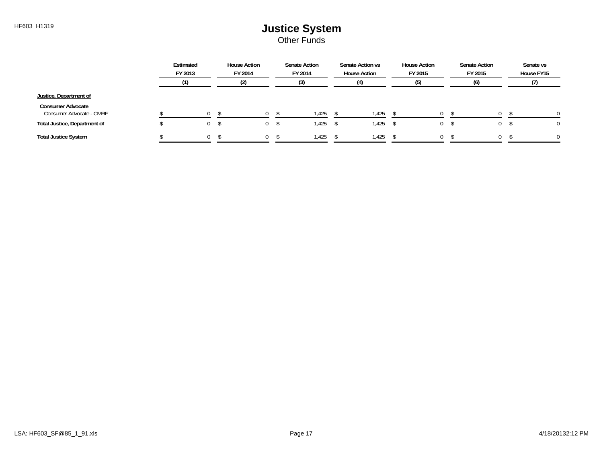Other Funds

|                                                      | Estimated<br>FY 2013 | <b>House Action</b><br>FY 2014 | <b>Senate Action</b><br>FY 2014 | Senate Action vs<br><b>House Action</b> | <b>House Action</b><br>FY 2015 | <b>Senate Action</b><br>FY 2015 | Senate vs<br>House FY15 |
|------------------------------------------------------|----------------------|--------------------------------|---------------------------------|-----------------------------------------|--------------------------------|---------------------------------|-------------------------|
|                                                      |                      |                                |                                 |                                         |                                | (6)                             |                         |
| Justice, Department of                               |                      |                                |                                 |                                         |                                |                                 |                         |
| <b>Consumer Advocate</b><br>Consumer Advocate - CMRF |                      | $\cap$                         | 1,425                           | 1,425                                   | ი -                            |                                 | $\Omega$                |
| Total Justice, Department of                         |                      |                                | 1,425                           | 1,425                                   |                                |                                 |                         |
| <b>Total Justice System</b>                          | $\Omega$             |                                | 1.425                           | 1,425                                   | 0                              |                                 | 0                       |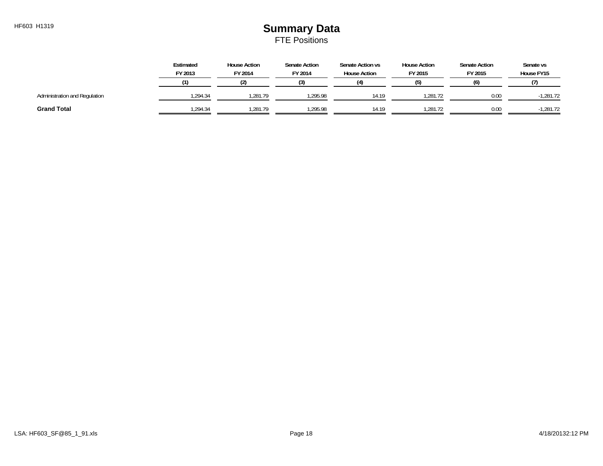### HF603 H1319 **Summary Data** FTE Positions

|                               | Estimated<br>FY 2013 | <b>House Action</b><br>FY 2014 | <b>Senate Action</b><br>FY 2014 | Senate Action vs<br><b>House Action</b> | <b>House Action</b><br>FY 2015 | <b>Senate Action</b><br>FY 2015 | Senate vs<br>House FY15 |
|-------------------------------|----------------------|--------------------------------|---------------------------------|-----------------------------------------|--------------------------------|---------------------------------|-------------------------|
|                               |                      |                                |                                 | (4)                                     |                                | (6)                             |                         |
| Administration and Regulation | .294.34              | .281.79                        | .295.98                         | 14.19                                   | .281.72                        | 0.00                            | $-1,281.72$             |
| <b>Grand Total</b>            | .294.34              | .281.79                        | .295.98                         | 14.19                                   | ,281.72                        | 0.00                            | $-1,281.72$             |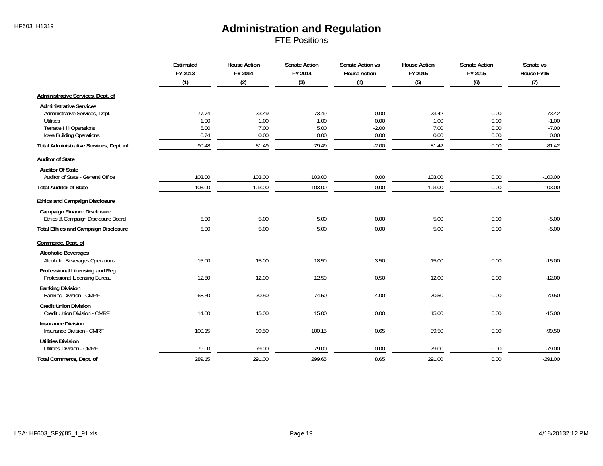FTE Positions

|                                             | Estimated<br>FY 2013 | <b>House Action</b><br>FY 2014 | <b>Senate Action</b><br>FY 2014 | Senate Action vs<br><b>House Action</b> | <b>House Action</b><br>FY 2015 | <b>Senate Action</b><br>FY 2015 | Senate vs<br>House FY15 |
|---------------------------------------------|----------------------|--------------------------------|---------------------------------|-----------------------------------------|--------------------------------|---------------------------------|-------------------------|
|                                             | (1)                  | (2)                            | (3)                             | (4)                                     | (5)                            | (6)                             | (7)                     |
| Administrative Services, Dept. of           |                      |                                |                                 |                                         |                                |                                 |                         |
| <b>Administrative Services</b>              |                      |                                |                                 |                                         |                                |                                 |                         |
| Administrative Services, Dept.              | 77.74                | 73.49                          | 73.49                           | 0.00                                    | 73.42                          | 0.00                            | $-73.42$                |
| <b>Utilities</b>                            | 1.00                 | 1.00                           | 1.00                            | 0.00                                    | 1.00                           | 0.00                            | $-1.00$                 |
| <b>Terrace Hill Operations</b>              | 5.00                 | 7.00                           | 5.00                            | $-2.00$                                 | 7.00                           | 0.00                            | $-7.00$                 |
| Iowa Building Operations                    | 6.74                 | 0.00                           | 0.00                            | 0.00                                    | 0.00                           | 0.00                            | 0.00                    |
| Total Administrative Services, Dept. of     | 90.48                | 81.49                          | 79.49                           | $-2.00$                                 | 81.42                          | 0.00                            | $-81.42$                |
| <b>Auditor of State</b>                     |                      |                                |                                 |                                         |                                |                                 |                         |
| <b>Auditor Of State</b>                     |                      |                                |                                 |                                         |                                |                                 |                         |
| Auditor of State - General Office           | 103.00               | 103.00                         | 103.00                          | 0.00                                    | 103.00                         | 0.00                            | $-103.00$               |
| <b>Total Auditor of State</b>               | 103.00               | 103.00                         | 103.00                          | 0.00                                    | 103.00                         | 0.00                            | $-103.00$               |
| <b>Ethics and Campaign Disclosure</b>       |                      |                                |                                 |                                         |                                |                                 |                         |
| <b>Campaign Finance Disclosure</b>          |                      |                                |                                 |                                         |                                |                                 |                         |
| Ethics & Campaign Disclosure Board          | 5.00                 | 5.00                           | 5.00                            | 0.00                                    | 5.00                           | 0.00                            | $-5.00$                 |
| <b>Total Ethics and Campaign Disclosure</b> | 5.00                 | 5.00                           | 5.00                            | 0.00                                    | 5.00                           | 0.00                            | $-5.00$                 |
| Commerce, Dept. of                          |                      |                                |                                 |                                         |                                |                                 |                         |
| <b>Alcoholic Beverages</b>                  |                      |                                |                                 |                                         |                                |                                 |                         |
| Alcoholic Beverages Operations              | 15.00                | 15.00                          | 18.50                           | 3.50                                    | 15.00                          | 0.00                            | $-15.00$                |
| Professional Licensing and Reg.             |                      |                                |                                 |                                         |                                |                                 |                         |
| Professional Licensing Bureau               | 12.50                | 12.00                          | 12.50                           | 0.50                                    | 12.00                          | 0.00                            | $-12.00$                |
| <b>Banking Division</b>                     |                      |                                |                                 |                                         |                                |                                 |                         |
| Banking Division - CMRF                     | 68.50                | 70.50                          | 74.50                           | 4.00                                    | 70.50                          | 0.00                            | $-70.50$                |
| <b>Credit Union Division</b>                |                      |                                |                                 |                                         |                                |                                 |                         |
| Credit Union Division - CMRF                | 14.00                | 15.00                          | 15.00                           | 0.00                                    | 15.00                          | 0.00                            | $-15.00$                |
| <b>Insurance Division</b>                   |                      |                                |                                 |                                         |                                |                                 |                         |
| Insurance Division - CMRF                   | 100.15               | 99.50                          | 100.15                          | 0.65                                    | 99.50                          | 0.00                            | $-99.50$                |
| <b>Utilities Division</b>                   |                      |                                |                                 |                                         |                                |                                 |                         |
| <b>Utilities Division - CMRF</b>            | 79.00                | 79.00                          | 79.00                           | 0.00                                    | 79.00                          | 0.00                            | $-79.00$                |
| Total Commerce, Dept. of                    | 289.15               | 291.00                         | 299.65                          | 8.65                                    | 291.00                         | 0.00                            | $-291.00$               |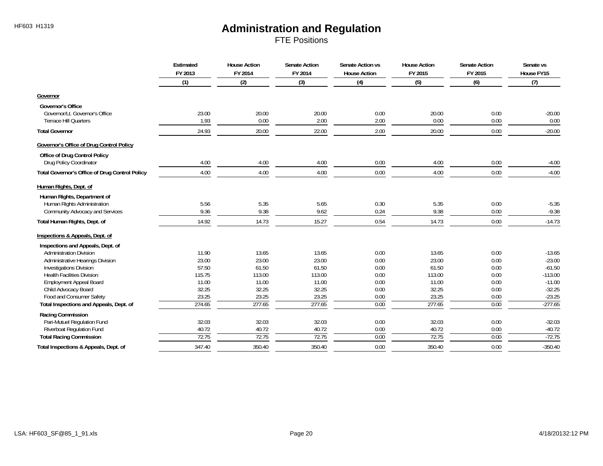FTE Positions

|                                                       | Estimated<br>FY 2013 | <b>House Action</b><br>FY 2014 | <b>Senate Action</b><br>FY 2014 | Senate Action vs<br><b>House Action</b> | <b>House Action</b><br>FY 2015 | <b>Senate Action</b><br>FY 2015 | Senate vs<br>House FY15 |
|-------------------------------------------------------|----------------------|--------------------------------|---------------------------------|-----------------------------------------|--------------------------------|---------------------------------|-------------------------|
|                                                       | (1)                  | (2)                            | (3)                             | (4)                                     | (5)                            | (6)                             | (7)                     |
| Governor                                              |                      |                                |                                 |                                         |                                |                                 |                         |
| <b>Governor's Office</b>                              |                      |                                |                                 |                                         |                                |                                 |                         |
| Governor/Lt. Governor's Office                        | 23.00                | 20.00                          | 20.00                           | 0.00                                    | 20.00                          | 0.00                            | $-20.00$                |
| <b>Terrace Hill Quarters</b>                          | 1.93                 | 0.00                           | 2.00                            | 2.00                                    | 0.00                           | 0.00                            | 0.00                    |
| <b>Total Governor</b>                                 | 24.93                | 20.00                          | 22.00                           | 2.00                                    | 20.00                          | 0.00                            | $-20.00$                |
| <b>Governor's Office of Drug Control Policy</b>       |                      |                                |                                 |                                         |                                |                                 |                         |
| Office of Drug Control Policy                         |                      |                                |                                 |                                         |                                |                                 |                         |
| Drug Policy Coordinator                               | 4.00                 | 4.00                           | 4.00                            | 0.00                                    | 4.00                           | 0.00                            | $-4.00$                 |
| <b>Total Governor's Office of Drug Control Policy</b> | 4.00                 | 4.00                           | 4.00                            | 0.00                                    | 4.00                           | 0.00                            | $-4.00$                 |
| Human Rights, Dept. of                                |                      |                                |                                 |                                         |                                |                                 |                         |
| Human Rights, Department of                           |                      |                                |                                 |                                         |                                |                                 |                         |
| Human Rights Administration                           | 5.56                 | 5.35                           | 5.65                            | 0.30                                    | 5.35                           | 0.00                            | $-5.35$                 |
| Community Advocacy and Services                       | 9.36                 | 9.38                           | 9.62                            | 0.24                                    | 9.38                           | 0.00                            | $-9.38$                 |
| Total Human Rights, Dept. of                          | 14.92                | 14.73                          | 15.27                           | 0.54                                    | 14.73                          | 0.00                            | $-14.73$                |
| Inspections & Appeals, Dept. of                       |                      |                                |                                 |                                         |                                |                                 |                         |
| Inspections and Appeals, Dept. of                     |                      |                                |                                 |                                         |                                |                                 |                         |
| <b>Administration Division</b>                        | 11.90                | 13.65                          | 13.65                           | 0.00                                    | 13.65                          | 0.00                            | $-13.65$                |
| Administrative Hearings Division                      | 23.00                | 23.00                          | 23.00                           | 0.00                                    | 23.00                          | 0.00                            | $-23.00$                |
| <b>Investigations Division</b>                        | 57.50                | 61.50                          | 61.50                           | 0.00                                    | 61.50                          | 0.00                            | $-61.50$                |
| <b>Health Facilities Division</b>                     | 115.75               | 113.00                         | 113.00                          | 0.00                                    | 113.00                         | 0.00                            | $-113.00$               |
| <b>Employment Appeal Board</b>                        | 11.00                | 11.00                          | 11.00                           | 0.00                                    | 11.00                          | 0.00                            | $-11.00$                |
| Child Advocacy Board                                  | 32.25                | 32.25                          | 32.25                           | 0.00                                    | 32.25                          | 0.00                            | $-32.25$                |
| Food and Consumer Safety                              | 23.25                | 23.25                          | 23.25                           | 0.00                                    | 23.25                          | 0.00                            | $-23.25$                |
| Total Inspections and Appeals, Dept. of               | 274.65               | 277.65                         | 277.65                          | 0.00                                    | 277.65                         | 0.00                            | $-277.65$               |
| Racing Commission                                     |                      |                                |                                 |                                         |                                |                                 |                         |
| Pari-Mutuel Regulation Fund                           | 32.03                | 32.03                          | 32.03                           | 0.00                                    | 32.03                          | 0.00                            | $-32.03$                |
| Riverboat Regulation Fund                             | 40.72                | 40.72                          | 40.72                           | 0.00                                    | 40.72                          | 0.00                            | $-40.72$                |
| <b>Total Racing Commission</b>                        | 72.75                | 72.75                          | 72.75                           | 0.00                                    | 72.75                          | 0.00                            | $-72.75$                |
| Total Inspections & Appeals, Dept. of                 | 347.40               | 350.40                         | 350.40                          | 0.00                                    | 350.40                         | 0.00                            | $-350.40$               |